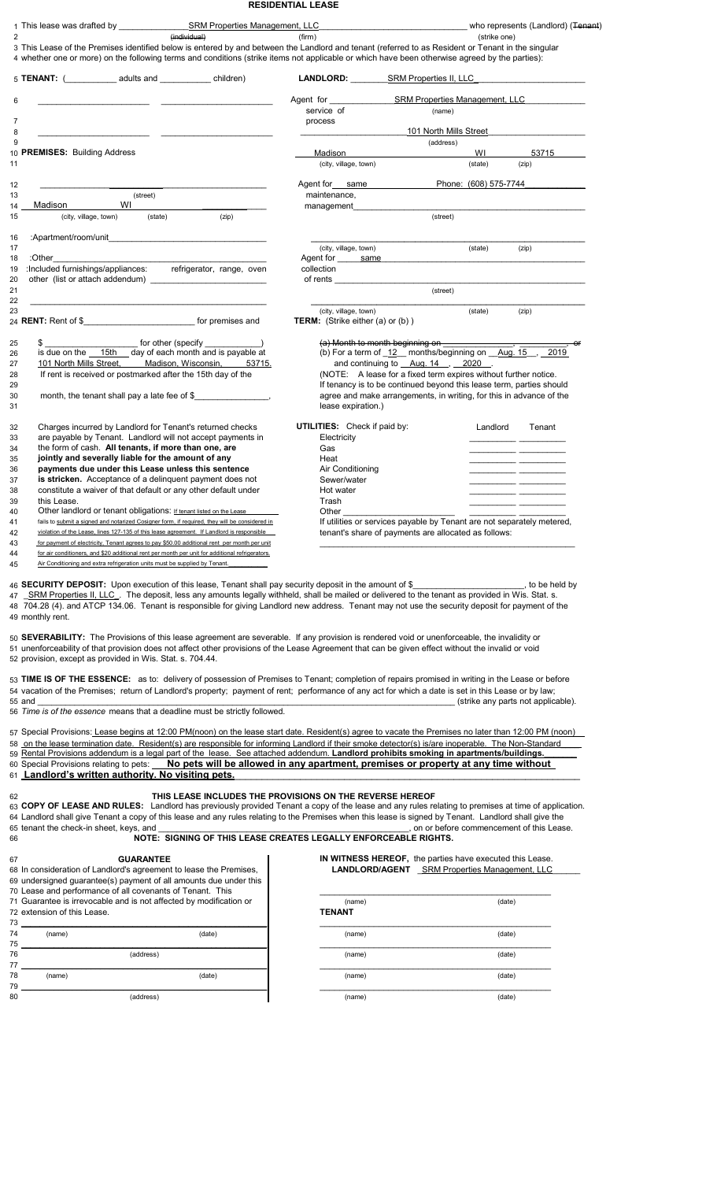#### RESIDENTIAL LEASE

| 1 This lease was drafted by          | 3 This Lease of the Premises identified below is entered by and between the Landlord and tenant (referred to as Resident or Tenant in the singular                                         |         |       |                                                                                                                                                                                                                                                                                                                                                                                                                             |                                                                                                                  |                                          |                                                                                                                                                                                                                                                       |
|--------------------------------------|--------------------------------------------------------------------------------------------------------------------------------------------------------------------------------------------|---------|-------|-----------------------------------------------------------------------------------------------------------------------------------------------------------------------------------------------------------------------------------------------------------------------------------------------------------------------------------------------------------------------------------------------------------------------------|------------------------------------------------------------------------------------------------------------------|------------------------------------------|-------------------------------------------------------------------------------------------------------------------------------------------------------------------------------------------------------------------------------------------------------|
|                                      |                                                                                                                                                                                            |         |       | 4 whether one or more) on the following terms and conditions (strike items not applicable or which have been otherwise agreed by the parties):                                                                                                                                                                                                                                                                              |                                                                                                                  |                                          |                                                                                                                                                                                                                                                       |
|                                      | 5 TENANT: (Changelenge adults and Changelenge Children)                                                                                                                                    |         |       | LANDLORD: SRM Properties II, LLC                                                                                                                                                                                                                                                                                                                                                                                            |                                                                                                                  |                                          |                                                                                                                                                                                                                                                       |
|                                      |                                                                                                                                                                                            |         |       | Agent for SRM Properties Management, LLC                                                                                                                                                                                                                                                                                                                                                                                    |                                                                                                                  |                                          |                                                                                                                                                                                                                                                       |
|                                      |                                                                                                                                                                                            |         |       | service of<br>process                                                                                                                                                                                                                                                                                                                                                                                                       | (name)                                                                                                           |                                          |                                                                                                                                                                                                                                                       |
|                                      |                                                                                                                                                                                            |         |       |                                                                                                                                                                                                                                                                                                                                                                                                                             | (address)                                                                                                        | 101 North Mills Street                   |                                                                                                                                                                                                                                                       |
| 10 <b>PREMISES:</b> Building Address |                                                                                                                                                                                            |         |       | Madison                                                                                                                                                                                                                                                                                                                                                                                                                     |                                                                                                                  | WI                                       | 53715                                                                                                                                                                                                                                                 |
|                                      |                                                                                                                                                                                            |         |       | (city, village, town)                                                                                                                                                                                                                                                                                                                                                                                                       |                                                                                                                  | (state)                                  | (zip)                                                                                                                                                                                                                                                 |
|                                      |                                                                                                                                                                                            |         |       | Agent for same                                                                                                                                                                                                                                                                                                                                                                                                              |                                                                                                                  | Phone: (608) 575-7744                    |                                                                                                                                                                                                                                                       |
| Madison                              | (street)<br>WI                                                                                                                                                                             |         |       | maintenance,<br>management                                                                                                                                                                                                                                                                                                                                                                                                  |                                                                                                                  |                                          |                                                                                                                                                                                                                                                       |
|                                      | (city, village, town)                                                                                                                                                                      | (state) | (zip) |                                                                                                                                                                                                                                                                                                                                                                                                                             | (street)                                                                                                         |                                          |                                                                                                                                                                                                                                                       |
|                                      | :Apartment/room/unit                                                                                                                                                                       |         |       |                                                                                                                                                                                                                                                                                                                                                                                                                             |                                                                                                                  |                                          |                                                                                                                                                                                                                                                       |
| :Other                               |                                                                                                                                                                                            |         |       | (city, village, town)<br>Agent for same                                                                                                                                                                                                                                                                                                                                                                                     |                                                                                                                  | (state)                                  | (zip)                                                                                                                                                                                                                                                 |
|                                      | :Included furnishings/appliances: refrigerator, range, oven                                                                                                                                |         |       | collection                                                                                                                                                                                                                                                                                                                                                                                                                  |                                                                                                                  |                                          |                                                                                                                                                                                                                                                       |
|                                      |                                                                                                                                                                                            |         |       | of rents                                                                                                                                                                                                                                                                                                                                                                                                                    | (street)                                                                                                         |                                          |                                                                                                                                                                                                                                                       |
|                                      |                                                                                                                                                                                            |         |       | (city, village, town)                                                                                                                                                                                                                                                                                                                                                                                                       |                                                                                                                  |                                          |                                                                                                                                                                                                                                                       |
|                                      | 24 <b>RENT:</b> Rent of \$______________________________ for premises and                                                                                                                  |         |       | TERM: (Strike either (a) or (b))                                                                                                                                                                                                                                                                                                                                                                                            |                                                                                                                  | (state)                                  | (zip)                                                                                                                                                                                                                                                 |
|                                      | for other (specify and set of the set of the set of the set of the set of the set of the set of the set of the                                                                             |         |       |                                                                                                                                                                                                                                                                                                                                                                                                                             | (a) Month to month beginning on                                                                                  |                                          | $-$ of                                                                                                                                                                                                                                                |
|                                      | is due on the $\_\$ 15th $\_\$ day of each month and is payable at                                                                                                                         |         |       |                                                                                                                                                                                                                                                                                                                                                                                                                             | (b) For a term of $12$ months/beginning on $\overline{Aug. 15}$ , 2019                                           |                                          |                                                                                                                                                                                                                                                       |
|                                      | 101 North Mills Street, Madison, Wisconsin, 53715.<br>If rent is received or postmarked after the 15th day of the                                                                          |         |       |                                                                                                                                                                                                                                                                                                                                                                                                                             | and continuing to $Auq. 14$ , $2020$ .<br>(NOTE: A lease for a fixed term expires without further notice.        |                                          |                                                                                                                                                                                                                                                       |
|                                      |                                                                                                                                                                                            |         |       |                                                                                                                                                                                                                                                                                                                                                                                                                             | If tenancy is to be continued beyond this lease term, parties should                                             |                                          |                                                                                                                                                                                                                                                       |
|                                      | month, the tenant shall pay a late fee of $\frac{1}{2}$ ,                                                                                                                                  |         |       | lease expiration.)                                                                                                                                                                                                                                                                                                                                                                                                          | agree and make arrangements, in writing, for this in advance of the                                              |                                          |                                                                                                                                                                                                                                                       |
|                                      | Charges incurred by Landlord for Tenant's returned checks                                                                                                                                  |         |       | <b>UTILITIES:</b> Check if paid by:                                                                                                                                                                                                                                                                                                                                                                                         |                                                                                                                  | Landlord                                 | Tenant                                                                                                                                                                                                                                                |
|                                      | are payable by Tenant. Landlord will not accept payments in                                                                                                                                |         |       | Electricity                                                                                                                                                                                                                                                                                                                                                                                                                 |                                                                                                                  |                                          |                                                                                                                                                                                                                                                       |
|                                      | the form of cash. All tenants, if more than one, are<br>jointly and severally liable for the amount of any                                                                                 |         |       | Gas<br>Heat                                                                                                                                                                                                                                                                                                                                                                                                                 |                                                                                                                  |                                          | and the con-                                                                                                                                                                                                                                          |
|                                      |                                                                                                                                                                                            |         |       |                                                                                                                                                                                                                                                                                                                                                                                                                             |                                                                                                                  |                                          | and the con-                                                                                                                                                                                                                                          |
|                                      |                                                                                                                                                                                            |         |       | Air Conditioning                                                                                                                                                                                                                                                                                                                                                                                                            |                                                                                                                  |                                          |                                                                                                                                                                                                                                                       |
|                                      | payments due under this Lease unless this sentence<br>is stricken. Acceptance of a delinquent payment does not                                                                             |         |       | Sewer/water                                                                                                                                                                                                                                                                                                                                                                                                                 |                                                                                                                  |                                          | <u>and the company of the company of the company of the company of the company of the company of the company of the company of the company of the company of the company of the company of the company of the company of the com</u><br>$\sim$ $\sim$ |
| this Lease.                          | constitute a waiver of that default or any other default under                                                                                                                             |         |       | Hot water<br>Trash                                                                                                                                                                                                                                                                                                                                                                                                          |                                                                                                                  |                                          | - -                                                                                                                                                                                                                                                   |
|                                      | Other landlord or tenant obligations: If tenant listed on the Lease                                                                                                                        |         |       | Other                                                                                                                                                                                                                                                                                                                                                                                                                       |                                                                                                                  |                                          |                                                                                                                                                                                                                                                       |
|                                      | fails to submit a signed and notarized Cosigner form, if required, they will be considered in<br>violation of the Lease, lines 127-135 of this lease agreement. If Landlord is responsible |         |       |                                                                                                                                                                                                                                                                                                                                                                                                                             | If utilities or services payable by Tenant are not separately metered,                                           |                                          |                                                                                                                                                                                                                                                       |
|                                      | for payment of electricity, Tenant agrees to pay \$50.00 additional rent per month per unit                                                                                                |         |       |                                                                                                                                                                                                                                                                                                                                                                                                                             | tenant's share of payments are allocated as follows:                                                             |                                          |                                                                                                                                                                                                                                                       |
|                                      | for air conditioners, and \$20 additional rent per month per unit for additional refrigerators<br>Air Conditioning and extra refrigeration units must be supplied by Tenant                |         |       |                                                                                                                                                                                                                                                                                                                                                                                                                             |                                                                                                                  |                                          |                                                                                                                                                                                                                                                       |
|                                      |                                                                                                                                                                                            |         |       | 46 <b>SECURITY DEPOSIT:</b> Upon execution of this lease, Tenant shall pay security deposit in the amount of \$<br>47 SRM Properties II, LLC_. The deposit, less any amounts legally withheld, shall be mailed or delivered to the tenant as provided in Wis. Stat. s.<br>48 704.28 (4). and ATCP 134.06. Tenant is responsible for giving Landlord new address. Tenant may not use the security deposit for payment of the |                                                                                                                  |                                          | , to be held by                                                                                                                                                                                                                                       |
| 49 monthly rent.                     | 52 provision, except as provided in Wis. Stat. s. 704.44.                                                                                                                                  |         |       | 50 SEVERABILITY: The Provisions of this lease agreement are severable. If any provision is rendered void or unenforceable, the invalidity or<br>51 unenforceability of that provision does not affect other provisions of the Lease Agreement that can be given effect without the invalid or void                                                                                                                          |                                                                                                                  |                                          |                                                                                                                                                                                                                                                       |
|                                      |                                                                                                                                                                                            |         |       | 53 TIME IS OF THE ESSENCE: as to: delivery of possession of Premises to Tenant; completion of repairs promised in writing in the Lease or before<br>54 vacation of the Premises; return of Landlord's property; payment of rent; performance of any act for which a date is set in this Lease or by law;                                                                                                                    |                                                                                                                  |                                          |                                                                                                                                                                                                                                                       |
|                                      |                                                                                                                                                                                            |         |       |                                                                                                                                                                                                                                                                                                                                                                                                                             |                                                                                                                  |                                          | (strike any parts not applicable).                                                                                                                                                                                                                    |
| 55 and                               | 56 Time is of the essence means that a deadline must be strictly followed.                                                                                                                 |         |       |                                                                                                                                                                                                                                                                                                                                                                                                                             |                                                                                                                  |                                          |                                                                                                                                                                                                                                                       |
|                                      |                                                                                                                                                                                            |         |       | 57 Special Provisions: Lease begins at 12:00 PM(noon) on the lease start date. Resident(s) agree to vacate the Premises no later than 12:00 PM (noon)                                                                                                                                                                                                                                                                       |                                                                                                                  |                                          |                                                                                                                                                                                                                                                       |
|                                      |                                                                                                                                                                                            |         |       | 58 on the lease termination date. Resident(s) are responsible for informing Landlord if their smoke detector(s) is/are inoperable. The Non-Standard<br>59 Rental Provisions addendum is a legal part of the lease. See attached addendum. Landlord prohibits smoking in apartments/buildings.                                                                                                                               |                                                                                                                  |                                          |                                                                                                                                                                                                                                                       |
|                                      | 61 Landlord's written authority. No visiting pets.                                                                                                                                         |         |       | 60 Special Provisions relating to pets: No pets will be allowed in any apartment, premises or property at any time without                                                                                                                                                                                                                                                                                                  |                                                                                                                  |                                          |                                                                                                                                                                                                                                                       |
|                                      |                                                                                                                                                                                            |         |       |                                                                                                                                                                                                                                                                                                                                                                                                                             |                                                                                                                  |                                          |                                                                                                                                                                                                                                                       |
|                                      |                                                                                                                                                                                            |         |       | THIS LEASE INCLUDES THE PROVISIONS ON THE REVERSE HEREOF<br>63 COPY OF LEASE AND RULES: Landlord has previously provided Tenant a copy of the lease and any rules relating to premises at time of application.                                                                                                                                                                                                              |                                                                                                                  |                                          |                                                                                                                                                                                                                                                       |
|                                      |                                                                                                                                                                                            |         |       | 64 Landlord shall give Tenant a copy of this lease and any rules relating to the Premises when this lease is signed by Tenant. Landlord shall give the                                                                                                                                                                                                                                                                      |                                                                                                                  |                                          |                                                                                                                                                                                                                                                       |
|                                      | 65 tenant the check-in sheet, keys, and                                                                                                                                                    |         |       | NOTE: SIGNING OF THIS LEASE CREATES LEGALLY ENFORCEABLE RIGHTS.                                                                                                                                                                                                                                                                                                                                                             |                                                                                                                  | on or before commencement of this Lease. |                                                                                                                                                                                                                                                       |
|                                      |                                                                                                                                                                                            |         |       |                                                                                                                                                                                                                                                                                                                                                                                                                             |                                                                                                                  |                                          |                                                                                                                                                                                                                                                       |
|                                      | <b>GUARANTEE</b><br>68 In consideration of Landlord's agreement to lease the Premises,                                                                                                     |         |       |                                                                                                                                                                                                                                                                                                                                                                                                                             | IN WITNESS HEREOF, the parties have executed this Lease.<br><b>LANDLORD/AGENT</b> SRM Properties Management, LLC |                                          |                                                                                                                                                                                                                                                       |
|                                      | 69 undersigned guarantee(s) payment of all amounts due under this                                                                                                                          |         |       |                                                                                                                                                                                                                                                                                                                                                                                                                             |                                                                                                                  |                                          |                                                                                                                                                                                                                                                       |
|                                      | 70 Lease and performance of all covenants of Tenant. This<br>71 Guarantee is irrevocable and is not affected by modification or                                                            |         |       | (name)                                                                                                                                                                                                                                                                                                                                                                                                                      |                                                                                                                  | (date)                                   |                                                                                                                                                                                                                                                       |
|                                      |                                                                                                                                                                                            |         |       | <b>TENANT</b>                                                                                                                                                                                                                                                                                                                                                                                                               |                                                                                                                  |                                          |                                                                                                                                                                                                                                                       |
| (name)                               |                                                                                                                                                                                            | (date)  |       | (name)                                                                                                                                                                                                                                                                                                                                                                                                                      |                                                                                                                  | (date)                                   |                                                                                                                                                                                                                                                       |
|                                      |                                                                                                                                                                                            |         |       | (name)                                                                                                                                                                                                                                                                                                                                                                                                                      |                                                                                                                  |                                          |                                                                                                                                                                                                                                                       |
| 72 extension of this Lease.          | (address)                                                                                                                                                                                  |         |       |                                                                                                                                                                                                                                                                                                                                                                                                                             |                                                                                                                  | (date)                                   |                                                                                                                                                                                                                                                       |
| (name)                               |                                                                                                                                                                                            | (date)  |       | (name)                                                                                                                                                                                                                                                                                                                                                                                                                      |                                                                                                                  | (date)                                   |                                                                                                                                                                                                                                                       |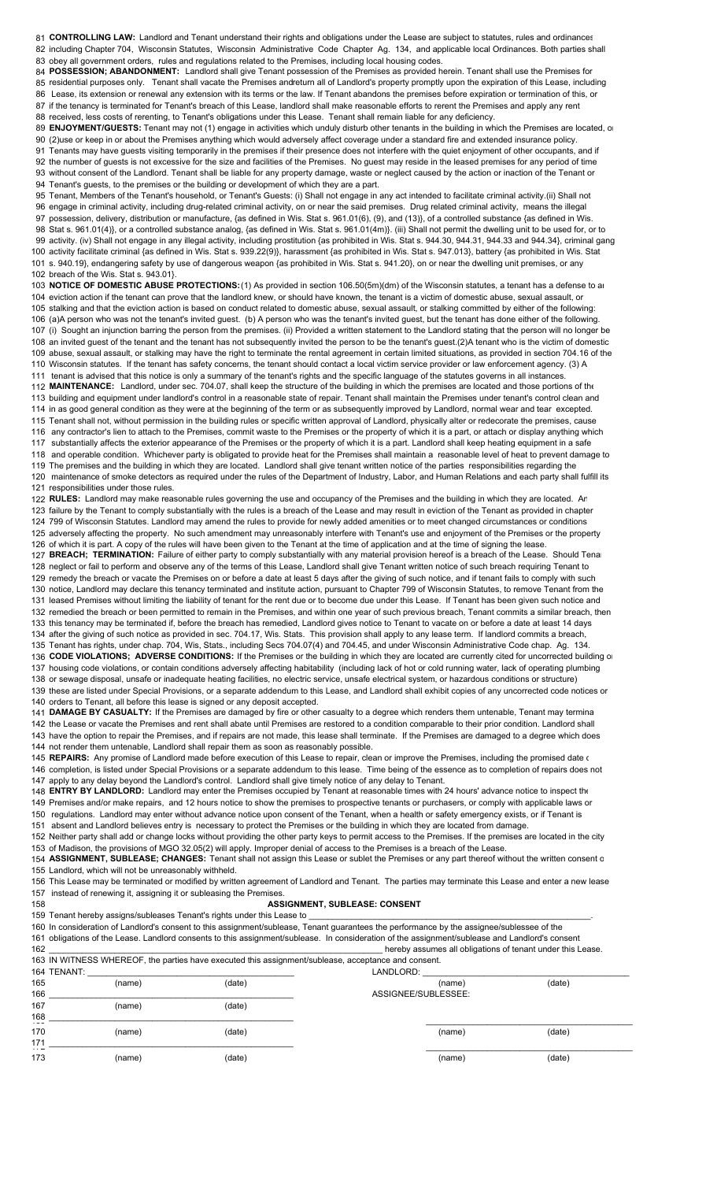81 **CONTROLLING LAW:** Landlord and Tenant understand their rights and obligations under the Lease are subject to statutes, rules and ordinances, 82 including Chapter 704, Wisconsin Statutes, Wisconsin Administrative Code Chapter Ag. 134, and applicable local Ordinances. Both parties shall 83 obey all government orders, rules and regulations related to the Premises, including local housing codes. 84 **POSSESSION; ABANDONMENT:** Landlord shall give Tenant possession of the Premises as provided herein. Tenant shall use the Premises for 85 residential purposes only. Tenant shall vacate the Premises andreturn all of Landlord's property promptly upon the expiration of this Lease, including 86 Lease, its extension or renewal any extension with its terms or the law. If Tenant abandons the premises before expiration or termination of this, or 87 if the tenancy is terminated for Tenant's breach of this Lease, landlord shall make reasonable efforts to rerent the Premises and apply any rent 88 received, less costs of rerenting, to Tenant's obligations under this Lease. Tenant shall remain liable for any deficiency. 89 **ENJOYMENT/GUESTS:** Tenant may not (1) engage in activities which unduly disturb other tenants in the building in which the Premises are located, or 90 (2)use or keep in or about the Premises anything which would adversely affect coverage under a standard fire and extended insurance policy. 91 Tenants may have guests visiting temporarily in the premises if their presence does not interfere with the quiet enjoyment of other occupants, and if 92 the number of guests is not excessive for the size and facilities of the Premises. No guest may reside in the leased premises for any period of time 93 without consent of the Landlord. Tenant shall be liable for any property damage, waste or neglect caused by the action or inaction of the Tenant or 94 Tenant's guests, to the premises or the building or development of which they are a part. 95 Tenant, Members of the Tenant's household, or Tenant's Guests: (i) Shall not engage in any act intended to facilitate criminal activity.(ii) Shall not 96 engage in criminal activity, including drug-related criminal activity, on or near the said premises. Drug related criminal activity, means the illegal 97 possession, delivery, distribution or manufacture, {as defined in Wis. Stat s. 961.01(6), (9), and (13)}, of a controlled substance {as defined in Wis. 98 Stat s. 961.01(4)}, or a controlled substance analog, {as defined in Wis. Stat s. 961.01(4m)}. (iii) Shall not permit the dwelling unit to be used for, or to 99 activity. (iv) Shall not engage in any illegal activity, including prostitution {as prohibited in Wis. Stat s. 944.30, 944.31, 944.33 and 944.34}, criminal gang 100 activity facilitate criminal {as defined in Wis. Stat s. 939.22(9)}, harassment {as prohibited in Wis. Stat s. 947.013}, battery {as prohibited in Wis. Stat 101 s. 940.19}, endangering safety by use of dangerous weapon {as prohibited in Wis. Stat s. 941.20}, on or near the dwelling unit premises, or any 102 breach of the Wis. Stat s. 943.01}. 103 **NOTICE OF DOMESTIC ABUSE PROTECTIONS:** (1) As provided in section 106.50(5m)(dm) of the Wisconsin statutes, a tenant has a defense to an 104 eviction action if the tenant can prove that the landlord knew, or should have known, the tenant is a victim of domestic abuse, sexual assault, or 105 stalking and that the eviction action is based on conduct related to domestic abuse, sexual assault, or stalking committed by either of the following: 106 (a)A person who was not the tenant's invited guest. (b) A person who was the tenant's invited guest, but the tenant has done either of the following. 107 (i) Sought an injunction barring the person from the premises. (ii) Provided a written statement to the Landlord stating that the person will no longer be 108 an invited guest of the tenant and the tenant has not subsequently invited the person to be the tenant's guest.(2)A tenant who is the victim of domestic 109 abuse, sexual assault, or stalking may have the right to terminate the rental agreement in certain limited situations, as provided in section 704.16 of the 110 Wisconsin statutes. If the tenant has safety concerns, the tenant should contact a local victim service provider or law enforcement agency. (3) A 111 tenant is advised that this notice is only a summary of the tenant's rights and the specific language of the statutes governs in all instances. 112 **MAINTENANCE:** Landlord, under sec. 704.07, shall keep the structure of the building in which the premises are located and those portions of the 113 building and equipment under landlord's control in a reasonable state of repair. Tenant shall maintain the Premises under tenant's control clean and 114 in as good general condition as they were at the beginning of the term or as subsequently improved by Landlord, normal wear and tear excepted. 115 Tenant shall not, without permission in the building rules or specific written approval of Landlord, physically alter or redecorate the premises, cause 116 any contractor's lien to attach to the Premises, commit waste to the Premises or the property of which it is a part, or attach or display anything which 117 substantially affects the exterior appearance of the Premises or the property of which it is a part. Landlord shall keep heating equipment in a safe 118 and operable condition. Whichever party is obligated to provide heat for the Premises shall maintain a reasonable level of heat to prevent damage to 119 The premises and the building in which they are located. Landlord shall give tenant written notice of the parties responsibilities regarding the 120 maintenance of smoke detectors as required under the rules of the Department of Industry, Labor, and Human Relations and each party shall fulfill its 121 responsibilities under those rules. 122 **RULES:** Landlord may make reasonable rules governing the use and occupancy of the Premises and the building in which they are located. Any 123 failure by the Tenant to comply substantially with the rules is a breach of the Lease and may result in eviction of the Tenant as provided in chapter 124 799 of Wisconsin Statutes. Landlord may amend the rules to provide for newly added amenities or to meet changed circumstances or conditions 125 adversely affecting the property. No such amendment may unreasonably interfere with Tenant's use and enjoyment of the Premises or the property 126 of which it is part. A copy of the rules will have been given to the Tenant at the time of application and at the time of signing the lease 127 BREACH; TERMINATION: Failure of either party to comply substantially with any material provision hereof is a breach of the Lease. Should Tenant 128 neglect or fail to perform and observe any of the terms of this Lease, Landlord shall give Tenant written notice of such breach requiring Tenant to 129 remedy the breach or vacate the Premises on or before a date at least 5 days after the giving of such notice, and if tenant fails to comply with such 130 notice, Landlord may declare this tenancy terminated and institute action, pursuant to Chapter 799 of Wisconsin Statutes, to remove Tenant from the 131 leased Premises without limiting the liability of tenant for the rent due or to become due under this Lease. If Tenant has been given such notice and 132 remedied the breach or been permitted to remain in the Premises, and within one year of such previous breach, Tenant commits a similar breach, then 133 this tenancy may be terminated if, before the breach has remedied, Landlord gives notice to Tenant to vacate on or before a date at least 14 days 134 after the giving of such notice as provided in sec. 704.17, Wis. Stats. This provision shall apply to any lease term. If landlord commits a breach, 135 Tenant has rights, under chap. 704, Wis, Stats., including Secs 704.07(4) and 704.45, and under Wisconsin Administrative Code chap. Ag. 134. 136 **CODE VIOLATIONS; ADVERSE CONDITIONS:** If the Premises or the building in which they are located are currently cited for uncorrected building or 137 housing code violations, or contain conditions adversely affecting habitability (including lack of hot or cold running water, lack of operating plumbing 138 or sewage disposal, unsafe or inadequate heating facilities, no electric service, unsafe electrical system, or hazardous conditions or structure) 139 these are listed under Special Provisions, or a separate addendum to this Lease, and Landlord shall exhibit copies of any uncorrected code notices or 140 orders to Tenant, all before this lease is signed or any deposit accepted. 141 DAMAGE BY CASUALTY: If the Premises are damaged by fire or other casualty to a degree which renders them untenable, Tenant may termina 142 the Lease or vacate the Premises and rent shall abate until Premises are restored to a condition comparable to their prior condition. Landlord shall 143 have the option to repair the Premises, and if repairs are not made, this lease shall terminate. If the Premises are damaged to a degree which does 144 not render them untenable, Landlord shall repair them as soon as reasonably possible. 145 REPAIRS: Any promise of Landlord made before execution of this Lease to repair, clean or improve the Premises, including the promised date of 146 completion, is listed under Special Provisions or a separate addendum to this lease. Time being of the essence as to completion of repairs does not 147 apply to any delay beyond the Landlord's control. Landlord shall give timely notice of any delay to Tenant. 148 **ENTRY BY LANDLORD:** Landlord may enter the Premises occupied by Tenant at reasonable times with 24 hours' advance notice to inspect the 149 Premises and/or make repairs, and 12 hours notice to show the premises to prospective tenants or purchasers, or comply with applicable laws or 150 regulations. Landlord may enter without advance notice upon consent of the Tenant, when a health or safety emergency exists, or if Tenant is 151 absent and Landlord believes entry is necessary to protect the Premises or the building in which they are located from damage. 152 Neither party shall add or change locks without providing the other party keys to permit access to the Premises. If the premises are located in the city 153 of Madison, the provisions of MGO 32.05(2) will apply. Improper denial of access to the Premises is a breach of the Lease. 154 **ASSIGNMENT, SUBLEASE; CHANGES:** Tenant shall not assign this Lease or sublet the Premises or any part thereof without the written consent of 155 Landlord, which will not be unreasonably withheld. 156 This Lease may be terminated or modified by written agreement of Landlord and Tenant. The parties may terminate this Lease and enter a new lease 157 instead of renewing it, assigning it or subleasing the Premises. 158 **ASSIGNMENT, SUBLEASE: CONSENT** 159 Tenant hereby assigns/subleases Tenant's rights under this Lease to 160 In consideration of Landlord's consent to this assignment/sublease, Tenant guarantees the performance by the assignee/sublessee of the 161 obligations of the Lease. Landlord consents to this assignment/sublease. In consideration of the assignment/sublease and Landlord's consent 162 **162 162 162 162 162 163 163 163 163 163 163 163 163 163 163 163 163 163 163 163 163 163 163 163 163 163 163 163 163 163 163 163 163 163 163 163 1** 163 IN WITNESS WHEREOF, the parties have executed this assignment/sublease, acceptance and consent. 164 TENANT: \_\_\_\_\_\_\_\_\_\_\_\_\_\_\_\_\_\_\_\_\_\_\_\_\_\_\_\_\_\_\_\_\_\_\_\_\_\_\_\_\_\_\_\_ LANDLORD: \_\_\_\_\_\_\_\_\_\_\_\_\_\_\_\_\_\_\_\_\_\_\_\_\_\_\_\_\_\_\_\_\_\_\_\_\_\_\_\_\_\_\_\_ 165 (name) (date) (name) (date) 166 \_\_\_\_\_\_\_\_\_\_\_\_\_\_\_\_\_\_\_\_\_\_\_\_\_\_\_\_\_\_\_\_\_\_\_\_\_\_\_\_\_\_\_\_\_\_\_\_\_\_\_\_ ASSIGNEE/SUBLESSEE: 167 (name) (date) 168 \_\_\_\_\_\_\_\_\_\_\_\_\_\_\_\_\_\_\_\_\_\_\_\_\_\_\_\_\_\_\_\_\_\_\_\_\_\_\_\_\_\_\_\_\_\_\_\_\_\_\_\_ <sup>169</sup> \_\_\_\_\_\_\_\_\_\_\_\_\_\_\_\_\_\_\_\_\_\_\_\_\_\_\_\_\_\_\_\_\_\_\_\_\_\_\_\_\_\_\_\_ 170 (name) (date) (name) (date) 171 \_\_\_\_\_\_\_\_\_\_\_\_\_\_\_\_\_\_\_\_\_\_\_\_\_\_\_\_\_\_\_\_\_\_\_\_\_\_\_\_\_\_\_\_\_\_\_\_\_\_\_\_ <sup>172</sup> \_\_\_\_\_\_\_\_\_\_\_\_\_\_\_\_\_\_\_\_\_\_\_\_\_\_\_\_\_\_\_\_\_\_\_\_\_\_\_\_\_\_\_\_ 173 (name) (date) (name) (date)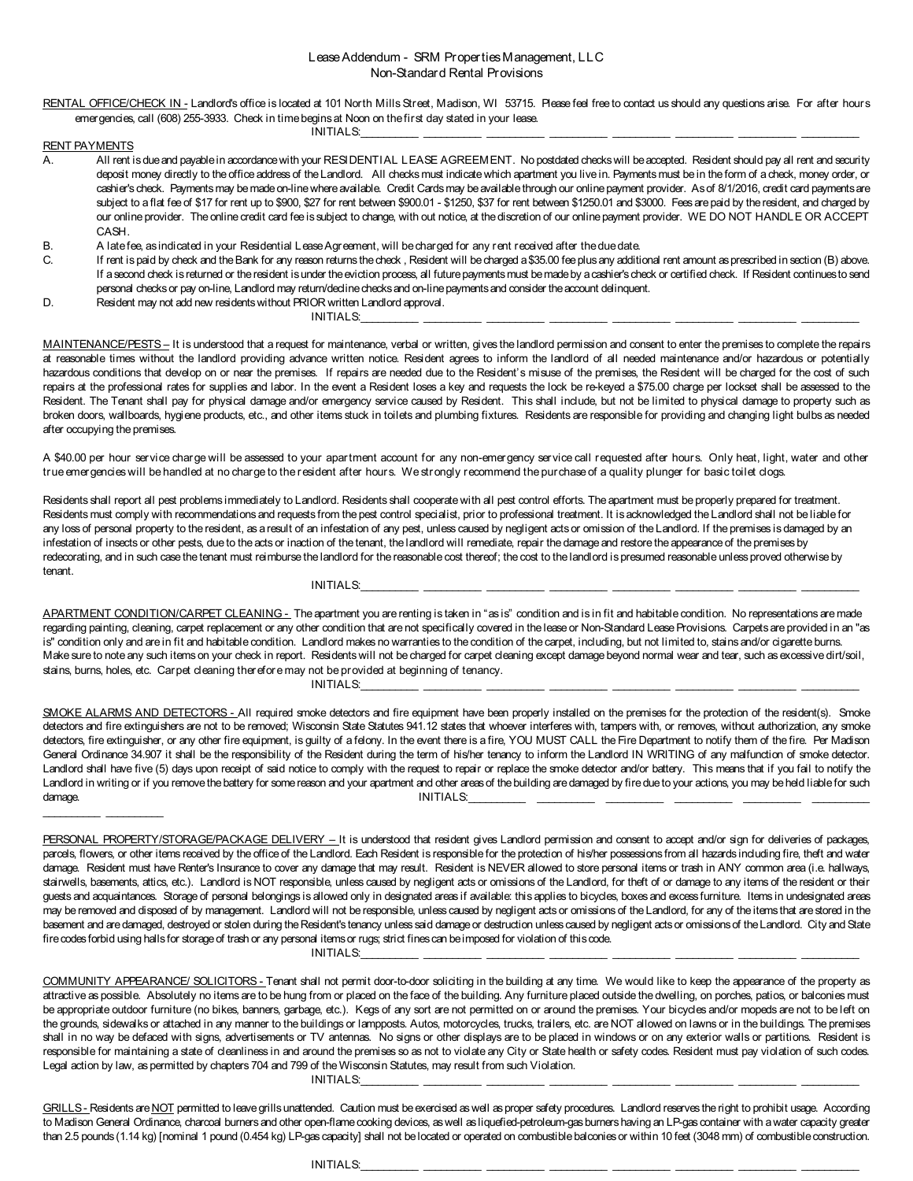RENTAL OFFICE/CHECK IN - Landlord's office is located at 101 North Mills Street, Madison, WI 53715. Please feel free to contact us should any questions arise. For after hours emergencies, call (608) 255-3933. Check in timebegins at Noon on thefirst day stated in your lease.

#### RENT PAYMENTS

- INITIALS:\_\_\_\_\_\_\_\_\_\_ \_\_\_\_\_\_\_\_\_\_ \_\_\_\_\_\_\_\_\_\_ \_\_\_\_\_\_\_\_\_\_ \_\_\_\_\_\_\_\_\_\_ \_\_\_\_\_\_\_\_\_\_ \_\_\_\_\_\_\_\_\_\_ \_\_\_\_\_\_\_\_\_\_
- A. All rent is due and payable in accordance with your RESIDENTIAL LEASE AGREEMENT. No postdated checks will be accepted. Resident should pay all rent and security deposit money directly to the office address of the Landlord. All checks must indicate which apartment you live in. Payments must be in the form of a check, money order, or cashier's check. Payments may be made on-line where available. Credit Cards may be available through our online payment provider. As of 8/1/2016, credit card payments are subject to a flat fee of \$17 for rent up to \$900, \$27 for rent between \$900.01 - \$1250, \$37 for rent between \$1250.01 and \$3000. Fees are paid by the resident, and charged by our online provider. The online credit card fee is subject to change, with out notice, at the discretion of our online payment provider. WE DO NOT HANDLE OR ACCEPT CASH.
- B. A late fee, as indicated in your Residential Lease Agreement, will be charged for any rent received after the due date.
- C. If rent is paid by check and theBank for any reason returnsthe check , Resident will be charged a\$35.00 fee plus any additional rent amount as prescribed in section (B) above. If a second check is returned or the resident is under the eviction process, all future payments must be made by a cashier's check or certified check. If Resident continues to send personal checks or pay on-line, Landlord may return/decline checks and on-linepayments and consider theaccount delinquent.

INITIALS:\_\_\_\_\_\_\_\_\_\_ \_\_\_\_\_\_\_\_\_\_ \_\_\_\_\_\_\_\_\_\_ \_\_\_\_\_\_\_\_\_\_ \_\_\_\_\_\_\_\_\_\_ \_\_\_\_\_\_\_\_\_\_ \_\_\_\_\_\_\_\_\_\_ \_\_\_\_\_\_\_\_\_\_

D. Resident may not add new residentswithout PRIOR written Landlord approval.

MAINTENANCE/PESTS - It is understood that a request for maintenance, verbal or written, gives the landlord permission and consent to enter the premises to complete the repairs at reasonable times without the landlord providing advance written notice. Resident agrees to inform the landlord of all needed maintenance and/or hazardous or potentially hazardous conditions that develop on or near the premises. If repairs are needed due to the Resident's misuse of the premises, the Resident will be charged for the cost of such repairs at the professional rates for supplies and labor. In the event a Resident loses a key and requests the lock be re-keyed a \$75.00 charge per lockset shall be assessed to the Resident. The Tenant shall pay for physical damage and/or emergency service caused by Resident. This shall include, but not be limited to physical damage to property such as broken doors, wallboards, hygiene products, etc., and other items stuck in toilets and plumbing fixtures. Residents are responsible for providing and changing light bulbs as needed after occupying the premises.

A \$40.00 per hour service charge will be assessed to your apartment account for any non-emergency service call requested after hours. Only heat, light, water and other true emergencies will be handled at no charge to the resident after hours. We strongly recommend the purchase of a quality plunger for basic toilet clogs.

Residents shall report all pest problems immediately to Landlord. Residents shall cooperate with all pest control efforts. The apartment must be properly prepared for treatment. Residents must comply with recommendations and requests from the pest control specialist, prior to professional treatment. It is acknowledged the Landlord shall not be liable for any loss of personal property to the resident, as a result of an infestation of any pest, unless caused by negligent acts or omission of the Landlord. If the premises is damaged by an infestation of insects or other pests, due to the acts or inaction of the tenant, the landlord will remediate, repair the damage and restore the appearance of the premises by redecorating, and in such case the tenant must reimburse the landlord for the reasonable cost thereof; the cost to the landlord is presumed reasonable unless proved otherwise by tenant.

#### INITIALS:\_\_\_\_\_\_\_\_\_\_ \_\_\_\_\_\_\_\_\_\_ \_\_\_\_\_\_\_\_\_\_ \_\_\_\_\_\_\_\_\_\_ \_\_\_\_\_\_\_\_\_\_ \_\_\_\_\_\_\_\_\_\_ \_\_\_\_\_\_\_\_\_\_ \_\_\_\_\_\_\_\_\_\_

APARTMENT CONDITION/CARPET CLEANING - The apartment you are renting is taken in "as is" condition and is in fit and habitable condition. No representations are made regarding painting, cleaning, carpet replacement or any other condition that are not specifically covered in the lease or Non-Standard Lease Provisions. Carpets are provided in an "as is" condition only and are in fit and habitable condition. Landlord makes no warranties to the condition of the carpet, including, but not limited to, stains and/or cigarette burns. Make sure to note any such items on your check in report. Residents will not be charged for carpet cleaning except damage beyond normal wear and tear, such as excessive dirt/soil, stains, burns, holes, etc. Carpet cleaning therefore may not be provided at beginning of tenancy. INITIALS:\_\_\_\_\_\_\_\_\_\_ \_\_\_\_\_\_\_\_\_\_ \_\_\_\_\_\_\_\_\_\_ \_\_\_\_\_\_\_\_\_\_ \_\_\_\_\_\_\_\_\_\_ \_\_\_\_\_\_\_\_\_\_ \_\_\_\_\_\_\_\_\_\_ \_\_\_\_\_\_\_\_\_\_

SMOKE ALARMS AND DETECTORS - All required smoke detectors and fire equipment have been properly installed on the premises for the protection of the resident(s). Smoke detectors and fire extinguishers are not to be removed; Wisconsin State Statutes 941.12 states that whoever interferes with, tampers with, or removes, without authorization, any smoke detectors, fire extinguisher, or any other fire equipment, is guilty of a felony. In the event there is a fire, YOU MUST CALL the Fire Department to notify them of the fire. Per Madison General Ordinance 34.907 it shall be the responsibility of the Resident during the term of his/her tenancy to inform the Landlord IN WRITING of any malfunction of smoke detector. Landlord shall have five (5) days upon receipt of said notice to comply with the request to repair or replace the smoke detector and/or battery. This means that if you fail to notify the Landlord in writing or if you remove the battery for some reason and your apartment and other areas of the building are damaged by fire due to your actions, you may be held liable for such damage. INITIALS:\_\_\_\_\_\_\_\_\_\_ \_\_\_\_\_\_\_\_\_\_ \_\_\_\_\_\_\_\_\_\_ \_\_\_\_\_\_\_\_\_\_ \_\_\_\_\_\_\_\_\_\_ \_\_\_\_\_\_\_\_\_\_ \_\_\_\_\_\_\_\_\_\_ \_\_\_\_\_\_\_\_\_\_

PERSONAL PROPERTY/STORAGE/PACKAGE DELIVERY - It is understood that resident gives Landlord permission and consent to accept and/or sign for deliveries of packages, parcels, flowers, or other items received by the office of the Landlord. Each Resident is responsible for the protection of his/her possessions from all hazards including fire, theft and water damage. Resident must have Renter's Insurance to cover any damage that may result. Resident is NEVER allowed to store personal items or trash in ANY common area (i.e. hallways, stairwells, basements, attics, etc.). Landlord is NOT responsible, unless caused by negligent acts or omissions of the Landlord, for theft of or damage to any items of the resident or their guests and acquaintances. Storage of personal belongings is allowed only in designated areas if available: this applies to bicycles, boxes and excessfurniture. Items in undesignated areas may be removed and disposed of by management. Landlord will not be responsible, unless caused by negligent acts or omissions of the Landlord, for any of the itemsthat are stored in the basement and are damaged, destroyed or stolen during the Resident's tenancy unless said damage or destruction unless caused by negligent acts or omissions of the Landlord. City and State fire codesforbid using hallsfor storageof trash or any personal items or rugs; strict fines can beimposed for violation of this code. INITIALS:\_\_\_\_\_\_\_\_\_\_ \_\_\_\_\_\_\_\_\_\_ \_\_\_\_\_\_\_\_\_\_ \_\_\_\_\_\_\_\_\_\_ \_\_\_\_\_\_\_\_\_\_ \_\_\_\_\_\_\_\_\_\_ \_\_\_\_\_\_\_\_\_\_ \_\_\_\_\_\_\_\_\_\_

COMMUNITY APPEARANCE/ SOLICITORS - Tenant shall not permit door-to-door soliciting in the building at any time. We would like to keep the appearance of the property as attractive as possible. Absolutely no items are to be hung from or placed on the face of the building. Any furniture placed outside the dwelling, on porches, patios, or balconies must be appropriate outdoor furniture (no bikes, banners, garbage, etc.). Kegs of any sort are not permitted on or around the premises. Your bicycles and/or mopeds are not to be left on the grounds, sidewalks or attached in any manner to the buildings or lampposts. Autos, motorcycles, trucks, trailers, etc. are NOT allowed on lawns or in the buildings. The premises shall in no way be defaced with signs, advertisements or TV antennas. No signs or other displays are to be placed in windows or on any exterior walls or partitions. Resident is responsible for maintaining a state of cleanliness in and around the premises so as not to violate any City or State health or safety codes. Resident must pay violation of such codes. Legal action by law, as permitted by chapters 704 and 799 of theWisconsin Statutes, may result from such Violation. INITIALS:\_\_\_\_\_\_\_\_\_\_ \_\_\_\_\_\_\_\_\_\_ \_\_\_\_\_\_\_\_\_\_ \_\_\_\_\_\_\_\_\_\_ \_\_\_\_\_\_\_\_\_\_ \_\_\_\_\_\_\_\_\_\_ \_\_\_\_\_\_\_\_\_\_ \_\_\_\_\_\_\_\_\_\_

GRILLS - Residents are NOT permitted to leave grills unattended. Caution must be exercised as well as proper safety procedures. Landlord reserves the right to prohibit usage. According to Madison General Ordinance, charcoal burners and other open-flame cooking devices, as well as liquefied-petroleum-gas burners having an LP-gas container with a water capacity greater than 2.5 pounds (1.14 kg) [nominal 1 pound (0.454 kg) LP-gas capacity] shall not be located or operated on combustible balconies or within 10 feet (3048 mm) of combustible construction.

INITIALS:\_\_\_\_\_\_\_\_\_\_ \_\_\_\_\_\_\_\_\_\_ \_\_\_\_\_\_\_\_\_\_ \_\_\_\_\_\_\_\_\_\_ \_\_\_\_\_\_\_\_\_\_ \_\_\_\_\_\_\_\_\_\_ \_\_\_\_\_\_\_\_\_\_ \_\_\_\_\_\_\_\_\_\_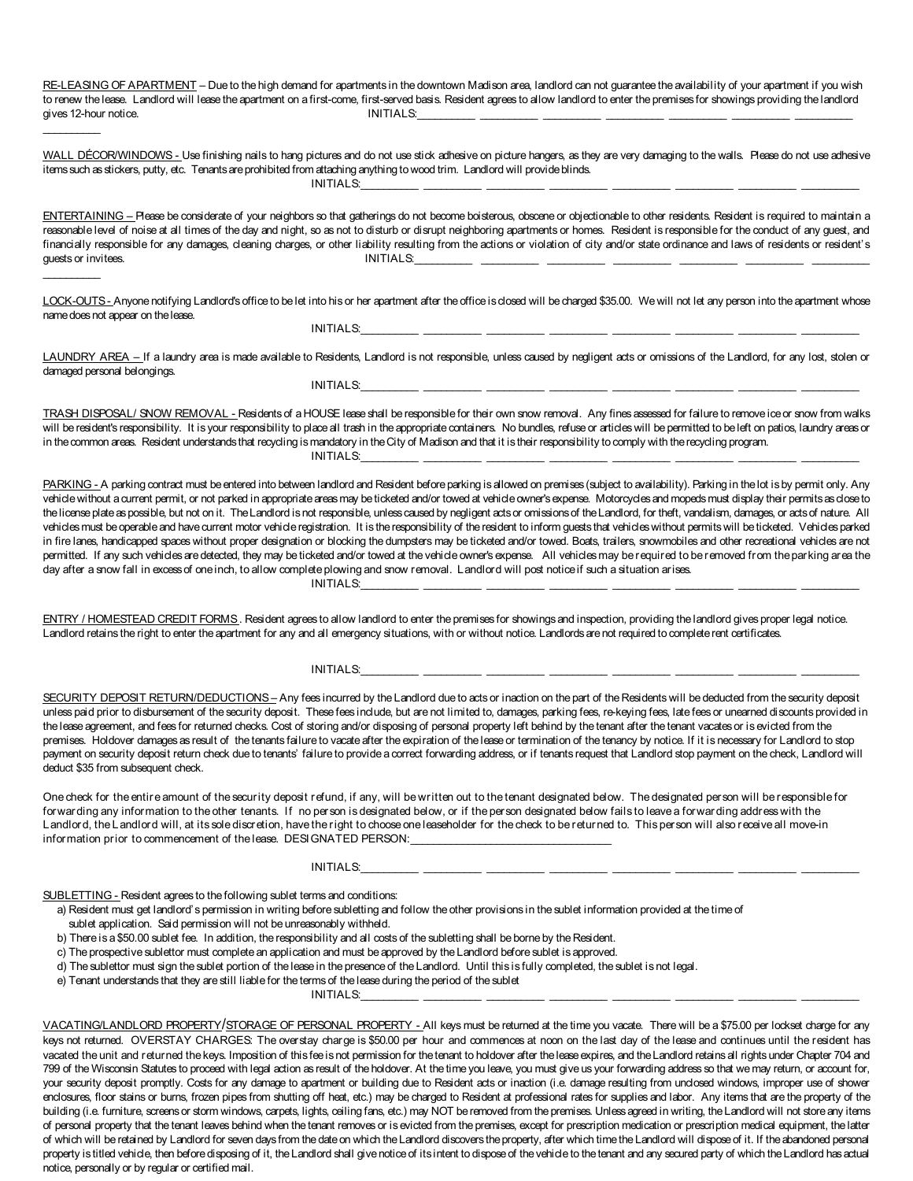|                                                                                                                                                                                                                                                                     | RE-LEASING OF APARTMENT - Due to the high demand for apartments in the downtown Madison area, landlord can not guarantee the availability of your apartment if you wish                                                                                                                                                                                                                                                                                                                                                                                                                                                                                                                                                                                                                                                                                                                                                                                                                                                                                                                                                                                                                                                                                                                                                                    |
|---------------------------------------------------------------------------------------------------------------------------------------------------------------------------------------------------------------------------------------------------------------------|--------------------------------------------------------------------------------------------------------------------------------------------------------------------------------------------------------------------------------------------------------------------------------------------------------------------------------------------------------------------------------------------------------------------------------------------------------------------------------------------------------------------------------------------------------------------------------------------------------------------------------------------------------------------------------------------------------------------------------------------------------------------------------------------------------------------------------------------------------------------------------------------------------------------------------------------------------------------------------------------------------------------------------------------------------------------------------------------------------------------------------------------------------------------------------------------------------------------------------------------------------------------------------------------------------------------------------------------|
| gives 12-hour notice.                                                                                                                                                                                                                                               | to renew the lease. Landlord will lease the apartment on a first-come, first-served basis. Resident agrees to allow landlord to enter the premises for showings providing the landlord                                                                                                                                                                                                                                                                                                                                                                                                                                                                                                                                                                                                                                                                                                                                                                                                                                                                                                                                                                                                                                                                                                                                                     |
|                                                                                                                                                                                                                                                                     |                                                                                                                                                                                                                                                                                                                                                                                                                                                                                                                                                                                                                                                                                                                                                                                                                                                                                                                                                                                                                                                                                                                                                                                                                                                                                                                                            |
|                                                                                                                                                                                                                                                                     |                                                                                                                                                                                                                                                                                                                                                                                                                                                                                                                                                                                                                                                                                                                                                                                                                                                                                                                                                                                                                                                                                                                                                                                                                                                                                                                                            |
|                                                                                                                                                                                                                                                                     | WALL DÉCOR/WINDOWS - Use finishing nails to hang pictures and do not use stick adhesive on picture hangers, as they are very damaging to the walls. Please do not use adhesive<br>items such as stickers, putty, etc. Tenants are prohibited from attaching anything to wood trim. Landlord will provide blinds.                                                                                                                                                                                                                                                                                                                                                                                                                                                                                                                                                                                                                                                                                                                                                                                                                                                                                                                                                                                                                           |
| guests or invitees.                                                                                                                                                                                                                                                 | ENTERTAINING – Please be considerate of your neighbors so that gatherings do not become boisterous, obscene or objectionable to other residents. Resident is required to maintain a<br>reasonable level of noise at all times of the day and night, so as not to disturb or disrupt neighboring apartments or homes. Resident is responsible for the conduct of any guest, and<br>financially responsible for any damages, cleaning charges, or other liability resulting from the actions or violation of city and/or state ordinance and laws of residents or resident's                                                                                                                                                                                                                                                                                                                                                                                                                                                                                                                                                                                                                                                                                                                                                                 |
| name does not appear on the lease.                                                                                                                                                                                                                                  | LOCK-OUTS-Anyone notifying Landlord's office to be let into his or her apartment after the office is closed will be charged \$35.00. We will not let any person into the apartment whose                                                                                                                                                                                                                                                                                                                                                                                                                                                                                                                                                                                                                                                                                                                                                                                                                                                                                                                                                                                                                                                                                                                                                   |
| damaged personal belongings.                                                                                                                                                                                                                                        | LAUNDRY AREA - If a laundry area is made available to Residents, Landlord is not responsible, unless caused by negligent acts or omissions of the Landlord, for any lost, stolen or                                                                                                                                                                                                                                                                                                                                                                                                                                                                                                                                                                                                                                                                                                                                                                                                                                                                                                                                                                                                                                                                                                                                                        |
|                                                                                                                                                                                                                                                                     |                                                                                                                                                                                                                                                                                                                                                                                                                                                                                                                                                                                                                                                                                                                                                                                                                                                                                                                                                                                                                                                                                                                                                                                                                                                                                                                                            |
|                                                                                                                                                                                                                                                                     | TRASH DISPOSAL/ SNOW REMOVAL - Residents of a HOUSE lease shall be responsible for their own snow removal. Any fines assessed for failure to remove ice or snow from walks<br>will be resident's responsibility. It is your responsibility to place all trash in the appropriate containers. No bundles, refuse or articles will be permitted to be left on patios, laundry areas or<br>in the common areas. Resident understands that recycling is mandatory in the City of Madison and that it is their responsibility to comply with the recycling program.                                                                                                                                                                                                                                                                                                                                                                                                                                                                                                                                                                                                                                                                                                                                                                             |
|                                                                                                                                                                                                                                                                     | PARKING - A parking contract must be entered into between landlord and Resident before parking is allowed on premises (subject to availability). Parking in the lot is by permit only. Any<br>vehicle without a current permit, or not parked in appropriate areas may be ticketed and/or towed at vehicle owner's expense. Motorcycles and mopeds must display their permits as close to<br>the license plate as possible, but not on it. The Landlord is not responsible, unless caused by negligent acts or omissions of the Landlord, for theft, vandalism, damages, or acts of nature. All<br>vehicles must be operable and have current motor vehicle registration. It is the responsibility of the resident to inform guests that vehicles without permits will be ticketed. Vehicles parked<br>in fire lanes, handicapped spaces without proper designation or blocking the dumpsters may be ticketed and/or towed. Boats, trailers, snowmobiles and other recreational vehicles are not<br>permitted. If any such vehicles are detected, they may be ticketed and/or towed at the vehicle owner's expense. All vehicles may be required to be removed from the parking area the<br>day after a snow fall in excess of one inch, to allow complete plowing and snow removal. Landlord will post notice if such a situation arises. |
|                                                                                                                                                                                                                                                                     | ENTRY / HOMESTEAD CREDIT FORMS. Resident agrees to allow landlord to enter the premises for showings and inspection, providing the landlord gives proper legal notice.<br>Landlord retains the right to enter the apartment for any and all emergency situations, with or without notice. Landlords are not required to complete rent certificates.                                                                                                                                                                                                                                                                                                                                                                                                                                                                                                                                                                                                                                                                                                                                                                                                                                                                                                                                                                                        |
|                                                                                                                                                                                                                                                                     |                                                                                                                                                                                                                                                                                                                                                                                                                                                                                                                                                                                                                                                                                                                                                                                                                                                                                                                                                                                                                                                                                                                                                                                                                                                                                                                                            |
| deduct \$35 from subsequent check.                                                                                                                                                                                                                                  | SECURITY DEPOSIT RETURN/DEDUCTIONS - Any fees incurred by the Landlord due to acts or inaction on the part of the Residents will be deducted from the security deposit<br>unless paid prior to disbursement of the security deposit. These fees include, but are not limited to, damages, parking fees, re-keying fees, late fees or unearned discounts provided in<br>the lease agreement, and fees for returned checks. Cost of storing and/or disposing of personal property left behind by the tenant after the tenant vacates or is evicted from the<br>premises. Holdover damages as result of the tenants failure to vacate after the expiration of the lease or termination of the tenancy by notice. If it is necessary for Landlord to stop<br>payment on security deposit return check due to tenants' failure to provide a correct forwarding address, or if tenants request that Landlord stop payment on the check, Landlord will                                                                                                                                                                                                                                                                                                                                                                                            |
|                                                                                                                                                                                                                                                                     | One check for the entire amount of the security deposit refund, if any, will be written out to the tenant designated below. The designated person will be responsible for<br>forwarding any information to the other tenants. If no person is designated below, or if the person designated below fails to leave a forwarding address with the<br>Landlord, the Landlord will, at its sole discretion, have the right to choose one leaseholder for the check to be returned to. This person will also receive all move-in<br>information prior to commencement of the lease. DESIGNATED PERSON:                                                                                                                                                                                                                                                                                                                                                                                                                                                                                                                                                                                                                                                                                                                                           |
|                                                                                                                                                                                                                                                                     |                                                                                                                                                                                                                                                                                                                                                                                                                                                                                                                                                                                                                                                                                                                                                                                                                                                                                                                                                                                                                                                                                                                                                                                                                                                                                                                                            |
| SUBLETTING - Resident agrees to the following sublet terms and conditions:<br>sublet application. Said permission will not be unreasonably withheld.<br>e) Tenant understands that they are still liable for the terms of the lease during the period of the sublet | a) Resident must get landlord's permission in writing before subletting and follow the other provisions in the sublet information provided at the time of<br>b) There is a \$50.00 sublet fee. In addition, the responsibility and all costs of the subletting shall be borne by the Resident.<br>c) The prospective sublettor must complete an application and must be approved by the Landlord before sublet is approved.<br>d) The sublettor must sign the sublet portion of the lease in the presence of the Landlord. Until this is fully completed, the sublet is not legal.                                                                                                                                                                                                                                                                                                                                                                                                                                                                                                                                                                                                                                                                                                                                                         |
|                                                                                                                                                                                                                                                                     | VACATING/LANDLORD PROPERTY/STORAGE OF PERSONAL PROPERTY - All keys must be returned at the time you vacate. There will be a \$75.00 per lockset charge for any<br>keys not returned. OVERSTAY CHARGES: The overstay charge is \$50.00 per hour and commences at noon on the last day of the lease and continues until the resident has<br>vacated the unit and returned the keys. Imposition of this fee is not permission for the tenant to holdover after the lease expires, and the Landlord retains all rights under Chapter 704 and<br>799 of the Wisconsin Statutes to proceed with legal action as result of the holdover. At the time you leave, you must give us your forwarding address so that we may return, or account for,<br>your security deposit promptly. Costs for any damage to apartment or building due to Resident acts or inaction (i.e. damage resulting from unclosed windows, improper use of shower<br>endosures, floor stains or burns, frozen pipes from shutting off heat, etc.) may be charged to Resident at professional rates for supplies and labor. Any items that are the property of the<br>building (i.e. furniture, screens or storm windows, carpets, lights, ceiling fans, etc.) may NOT be removed from the premises. Unless agreed in writing, the Landlord will not store any items          |

of personal property that the tenant leaves behind when the tenant removes or is evicted from the premises, except for prescription medication or prescription medical equipment, the latter of which will be retained by Landlord for seven daysfrom the date on which the Landlord discoverstheproperty, after which timethe Landlord will dispose of it. If the abandoned personal property is titled vehicle, then before disposing of it, the Landlord shall give notice of its intent to dispose of the vehicle to the tenant and any secured party of which the Landlord has actual notice, personally or by regular or certified mail.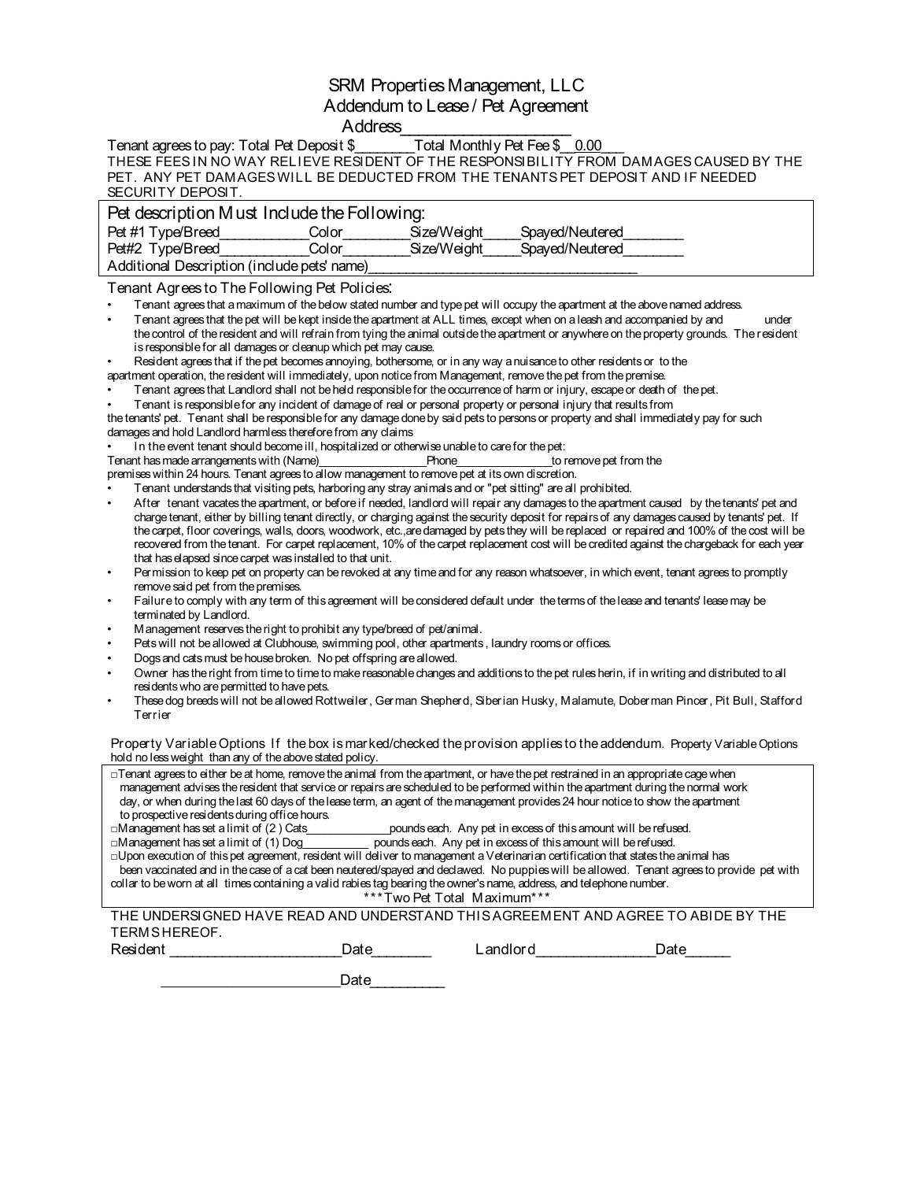# SRM Properties Management, LLC Addendum to Lease/ Pet Agreement

A ddress

Tenant agrees to pay: Total Pet Deposit \$ \_\_\_\_\_\_\_Total Monthly Pet Fee \$ 0.00 THESE FEES IN NO WAY RELIEVE RESIDENT OF THE RESPONSIBILITY FROM DAMAGES CAUSED BY THE PET. ANY PET DAMAGES WILL BE DEDUCTED FROM THE TENANTS PET DEPOSIT AND IF NEEDED SECURITY DEPOSIT.

| Pet description M ust Include the Following: |       |             |                 |  |  |
|----------------------------------------------|-------|-------------|-----------------|--|--|
| Pet #1 Type/Breed                            | Color | Size/Weight | Spayed/Neutered |  |  |
| Pet#2 Type/Breed                             | Color | Size/Weight | Spayed/Neutered |  |  |
| Additional Description (include pets' name)  |       |             |                 |  |  |

Tenant Agr ees to The Following Pet Policies:

- Tenant agrees that amaximum of the below stated number and type pet will occupy the apartment at the above named address.
- Tenant agrees that the pet will be kept insidethe apartment at ALL times, except when on a leash and accompanied by and under the control of the resident and will refrain from tying the animal outside the apartment or anywhere on the property grounds. The resident is responsiblefor all damages or cleanup which pet may cause.
- Resident agrees that if the pet becomes annoying, bothersome, or in any way a nuisanceto other residents or to the apartment operation, the resident will immediately, upon noticefrom Management, remove the pet from the premise.
- Tenant agrees that Landlord shall not be held responsiblefor the occurrence of harm or injury, escape or death of the pet.
- Tenant is responsiblefor any incident of damage of real or personal property or personal injury that results from

thetenants' pet. Tenant shall be responsiblefor any damagedoneby said pets to persons or property and shall immediately pay for such damages and hold Landlord harmless thereforefrom any claims

In the event tenant should become ill, hospitalized or otherwise unable to care for the pet:

Tenant has made arrangements with (Name) example are all the Phone to remove pet from the

premises within 24 hours. Tenant agrees to allow management to remove pet at its own discretion.

- Tenant understandsthat visiting pets, harboring any stray animals and or "pet sitting" are all prohibited.
- After tenant vacatesthe apartment, or before if needed, landlord will repair any damages to the apartment caused by thetenants' pet and chargetenant, either by billing tenant directly, or charging against the security deposit for repairs of any damages caused by tenants' pet. If the carpet, floor coverings, walls, doors, woodwork, etc.,aredamaged by pets they will be replaced or repaired and 100% of the cost will be recovered from thetenant. For carpet replacement, 10% of the carpet replacement cost will be credited against the chargeback for each year that has elapsed since carpet was installed to that unit.
- Permission to keep pet on property can be revoked at any timeand for any reason whatsoever, in which event, tenant agrees to promptly remove said pet from the premises.
- Failure to comply with any term of this agreement will be considered default under theterms of the lease and tenants' leasemay be terminated by Landlord.
- Management reserves the right to prohibit any type/breed of pet/animal.
- Pets will not be allowed at Clubhouse, swimming pool, other apartments, laundry rooms or offices.
- Dogs and cats must be house broken. No pet offspring are allowed.
- Owner hasthe right from timeto timeto make reasonable changes and additionsto the pet rules herin, if in writing and distributed to all residents who are permitted to have pets.
- These dog breeds will not be allowed Rottweiler, German Shepher d, Siber ian Husky, Malamute, Doberman Pincer, Pit Bull, Stafford **Terrier**

Property Variable Options If the box is mar ked/checked the provision applies to the addendum. Property Variable Options hold no less weight than any of the above stated policy.

| $\Box$ Tenant agrees to either be at home, remove the animal from the apartment, or have the pet restrained in an appropriate cage when<br>management advises the resident that service or repairs are scheduled to be performed within the apartment during the normal work |      |                                                                |                                                                                                                                           |  |
|------------------------------------------------------------------------------------------------------------------------------------------------------------------------------------------------------------------------------------------------------------------------------|------|----------------------------------------------------------------|-------------------------------------------------------------------------------------------------------------------------------------------|--|
| day, or when during the last 60 days of the lease term, an agent of the management provides 24 hour notice to show the apartment<br>to prospective residents during office hours.                                                                                            |      |                                                                |                                                                                                                                           |  |
| $\Box$ Management has set a limit of (2 ) Cats                                                                                                                                                                                                                               |      | pounds each. Any pet in excess of this amount will be refused. |                                                                                                                                           |  |
| □Management has set a limit of (1) Dog pounds each. Any pet in excess of this amount will be refused.                                                                                                                                                                        |      |                                                                |                                                                                                                                           |  |
| □ Upon execution of this pet agreement, resident will deliver to management a Veterinarian certification that states the animal has                                                                                                                                          |      |                                                                | been vaccinated and in the case of a cat been neutered/spayed and declawed. No puppies will be allowed. Tenant agrees to provide pet with |  |
| collar to be worn at all times containing a valid rabies tag bearing the owner's name, address, and telephone number.                                                                                                                                                        |      |                                                                |                                                                                                                                           |  |
|                                                                                                                                                                                                                                                                              |      | ***Two Pet Total Maximum***                                    |                                                                                                                                           |  |
| THE UNDERSIGNED HAVE READ AND UNDERSTAND THIS AGREEMENT AND AGREE TO ABIDE BY THE                                                                                                                                                                                            |      |                                                                |                                                                                                                                           |  |
| TERMSHEREOF.                                                                                                                                                                                                                                                                 |      |                                                                |                                                                                                                                           |  |
| Resident                                                                                                                                                                                                                                                                     | Date | Landlord                                                       | Date                                                                                                                                      |  |
|                                                                                                                                                                                                                                                                              | Date |                                                                |                                                                                                                                           |  |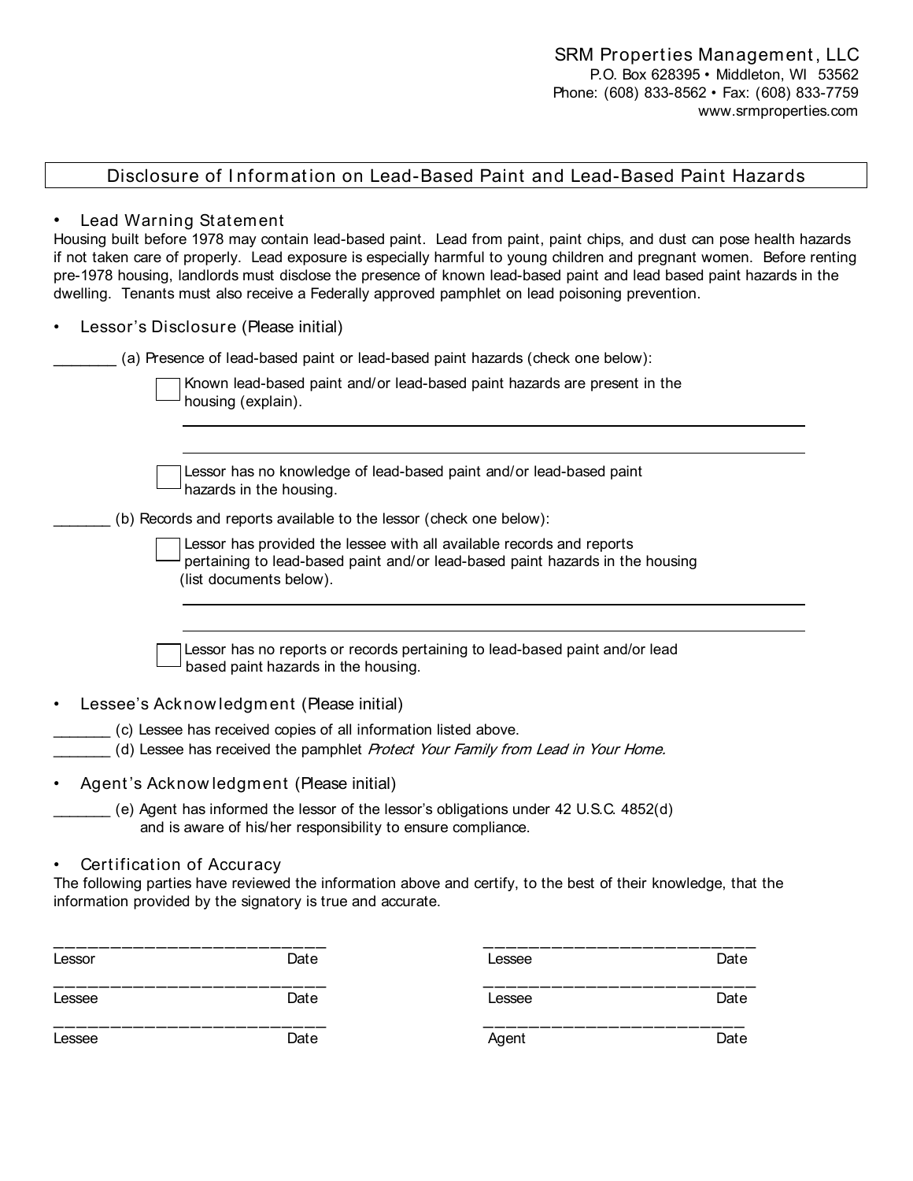# Disclosure of Information on Lead-Based Paint and Lead-Based Paint Hazards

Lead Warning Statement

Housing built before 1978 may contain lead-based paint. Lead from paint, paint chips, and dust can pose health hazards if not taken care of properly. Lead exposure is especially harmful to young children and pregnant women. Before renting pre-1978 housing, landlords must disclose the presence of known lead-based paint and lead based paint hazards in the dwelling. Tenants must also receive a Federally approved pamphlet on lead poisoning prevention.

- Lessor's Disclosure (Please initial)
	- (a) Presence of lead-based paint or lead-based paint hazards (check one below):

| Known lead-based paint and/or lead-based paint hazards are present in the<br>$\Box$ housing (explain). |
|--------------------------------------------------------------------------------------------------------|
|                                                                                                        |

Lessor has no knowledge of lead-based paint and/or lead-based paint hazards in the housing.

(b) Records and reports available to the lessor (check one below):

Lessor has provided the lessee with all available records and reports pertaining to lead-based paint and/or lead-based paint hazards in the housing (list documents below).

Lessor has no reports or records pertaining to lead-based paint and/or lead based paint hazards in the housing.

- Lessee's Acknowledgment (Please initial)
	- \_\_\_\_\_\_\_ (c) Lessee has received copies of all information listed above.
	- (d) Lessee has received the pamphlet *Protect Your Family from Lead in Your Home.*
- Agent 's Acknow ledgm ent (Please initial)
	- \_\_\_\_\_\_\_ (e) Agent has informed the lessor of the lessor's obligations under 42 U.S.C. 4852(d) and is aware of his/her responsibility to ensure compliance.

# Certification of Accuracy

The following parties have reviewed the information above and certify, to the best of their knowledge, that the information provided by the signatory is true and accurate.

| Lessor | Date | Lessee | Date |
|--------|------|--------|------|
| Lessee | Date | Lessee | Date |
| Lessee | Date | Agent  | Date |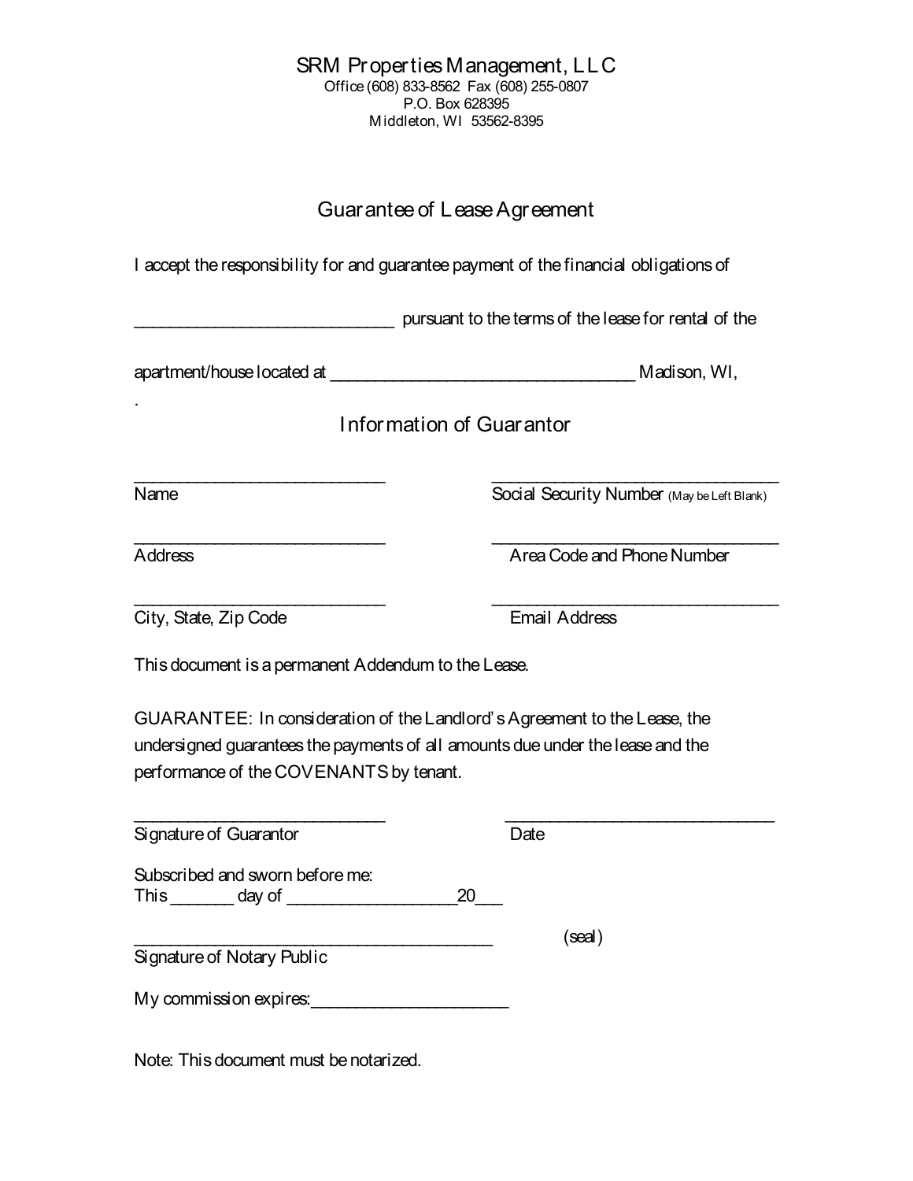SRM Properties Management, LLC Office (608) 833-8562 Fax (608) 255-0807 P.O. Box 628395 M iddleton, WI 53562-8395

# Guarantee of L easeAgr eement

I accept the responsibility for and guarantee payment of thefinancial obligations of **EXECUTE:** pursuant to the terms of the lease for rental of the apartment/house located at \_\_\_\_\_\_\_\_\_\_\_\_\_\_\_\_\_\_\_\_\_\_\_\_\_\_\_\_\_\_\_\_\_\_ Madison, WI, . I nformation of Guar antor \_\_\_\_\_\_\_\_\_\_\_\_\_\_\_\_\_\_\_\_\_\_\_\_\_\_\_\_ \_\_\_\_\_\_\_\_\_\_\_\_\_\_\_\_\_\_\_\_\_\_\_\_\_\_\_\_\_\_\_\_ Name Social Security Number (May be Left Blank)

\_\_\_\_\_\_\_\_\_\_\_\_\_\_\_\_\_\_\_\_\_\_\_\_\_\_\_\_ \_\_\_\_\_\_\_\_\_\_\_\_\_\_\_\_\_\_\_\_\_\_\_\_\_\_\_\_\_\_\_\_ Address **Area Code and Phone Number** 

\_\_\_\_\_\_\_\_\_\_\_\_\_\_\_\_\_\_\_\_\_\_\_\_\_\_\_\_ \_\_\_\_\_\_\_\_\_\_\_\_\_\_\_\_\_\_\_\_\_\_\_\_\_\_\_\_\_\_\_\_ City, State, Zip Code Email Address

This document is a permanent Addendum to the Lease.

GUARANTEE: In consideration of the Landlord' s Agreement to the Lease, the undersigned guarantees the payments of all amounts due under the lease and the performance of the COVENANTS by tenant.

| Signature of Guarantor                            | Date |        |
|---------------------------------------------------|------|--------|
| Subscribed and sworn before me:<br>This<br>day of | 20   |        |
| Signature of Notary Public                        |      | (seal) |
| My commission expires:                            |      |        |

Note: This document must be notarized.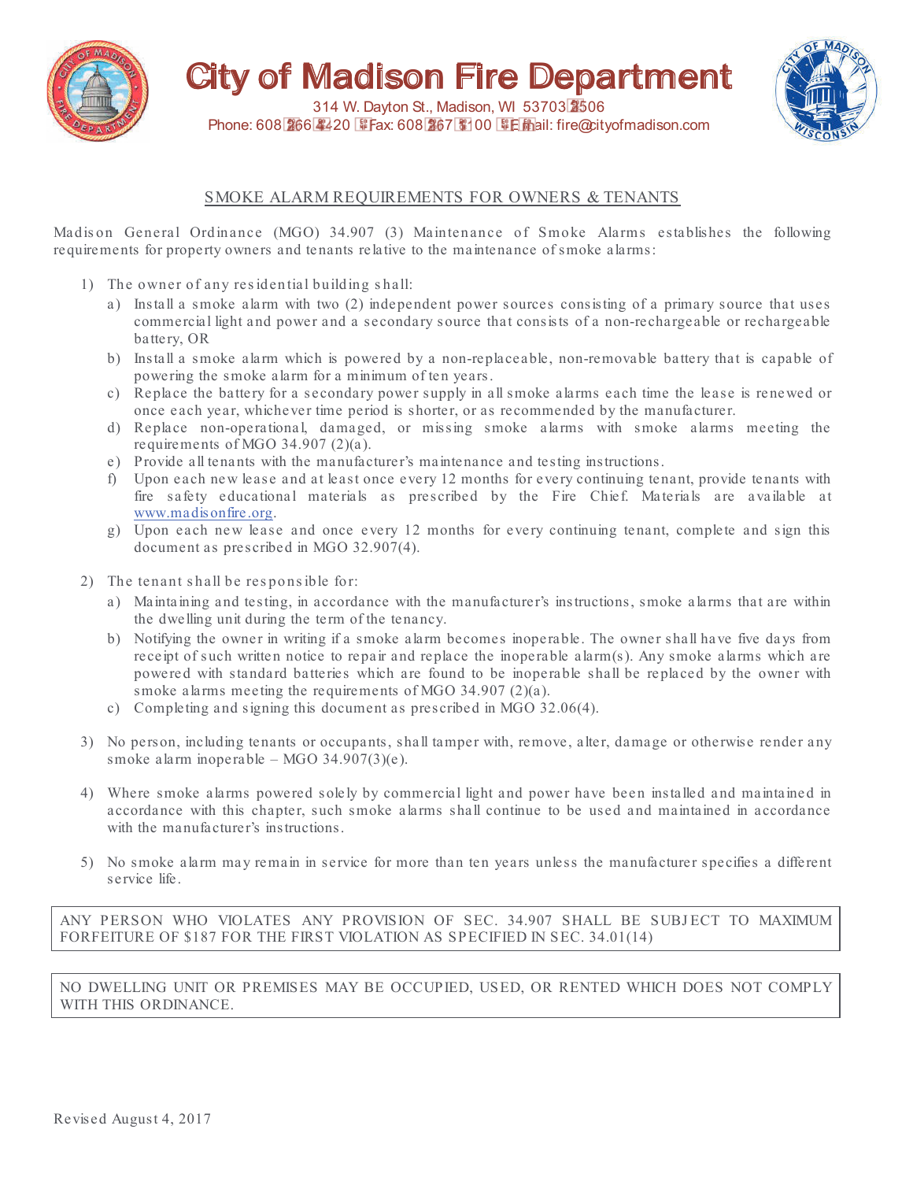

City of Madison Fire Department 314 W. Dayton St., Madison, WI 53703 3506 Phone: 608 266 4420 [ Fax: 608 267 <sup>1</sup>100 F **hail: fire@cityofmadison.com** 



# SMOKE ALARM REQUIREMENTS FOR OWNERS & TENANTS

Madison General Ordinance (MGO) 34.907 (3) Maintenance of Smoke Alarms establishes the following requirements for property owners and tenants relative to the maintenance of smoke alarms:

- 1) The owner of any res iden tial building s hall:
	- a) Install a smoke alarm with two (2) independent power sources consisting of a primary source that uses commercial light and power and a secondary source that consists of a non-rechargeable or rechargeable battery, OR
	- b) Install a smoke alarm which is powered by a non-replaceable, non-removable battery that is capable of powering the smoke alarm for a minimum of ten years .
	- c) Replace the battery for a s econdary power supply in all smoke alarms each time the lease is renewed or once each year, whichever time period is shorter, or as recommended by the manufacturer.
	- d) Replace non-operational, damaged, or missing smoke alarms with smoke alarms meeting the requirements of MGO 34.907 (2)(a).
	- e) Provide all tenants with the manufacturer's maintenance and testing instructions.
	- f) Upon each new lease and at least once every 12 months for every continuing tenant, provide tenants with fire safety educational materials as prescribed by the Fire Chief. Materials are available at www.madisonfire.org.
	- g) Upon each new lease and once every 12 months for every continuing tenant, complete and sign this document as prescribed in MGO 32.907(4).
- 2) The tenant shall be responsible for:
	- a) Maintaining and testing, in accordance with the manufacturer's instructions, smoke alarms that are within the dwelling unit during the term of the tenancy.
	- b) Notifying the owner in writing if a smoke alarm becomes inoperable. The owner shall have five da ys from receipt of such written notice to repair and replace the inoperable alarm(s). Any smoke alarms which are powered with standard batteries which are found to be inoperable shall be replaced by the owner with smoke alarms meeting the requirements of MGO 34.907 (2)(a).
	- c) Completing and signing this document as prescribed in MGO 32.06(4).
- 3) No person, including tenants or occupants, shall tamper with, remove, alter, damage or otherwise render any smoke alarm inoperable – MGO  $34.907(3)(e)$ .
- 4) Where smoke alarms powered solely by commercial light and power have been installed and maintained in accordance with this chapter, such smoke alarms shall continue to be used and maintained in accordance with the manufacturer's instructions.
- 5) No smoke alarm may remain in service for more than ten years unless the manufacturer specifies a different service life.

ANY PERSON WHO VIOLATES ANY PROVISION OF SEC. 34.907 SHALL BE SUBJECT TO MAXIMUM FORFEITURE OF \$187 FOR THE FIRST VIOLATION AS SPECIFIED IN SEC. 34.01(14)

NO DWELLING UNIT OR PREMISES MAY BE OCCUPIED, USED, OR RENTED WHICH DOES NOT COMPLY WITH THIS ORDINANCE.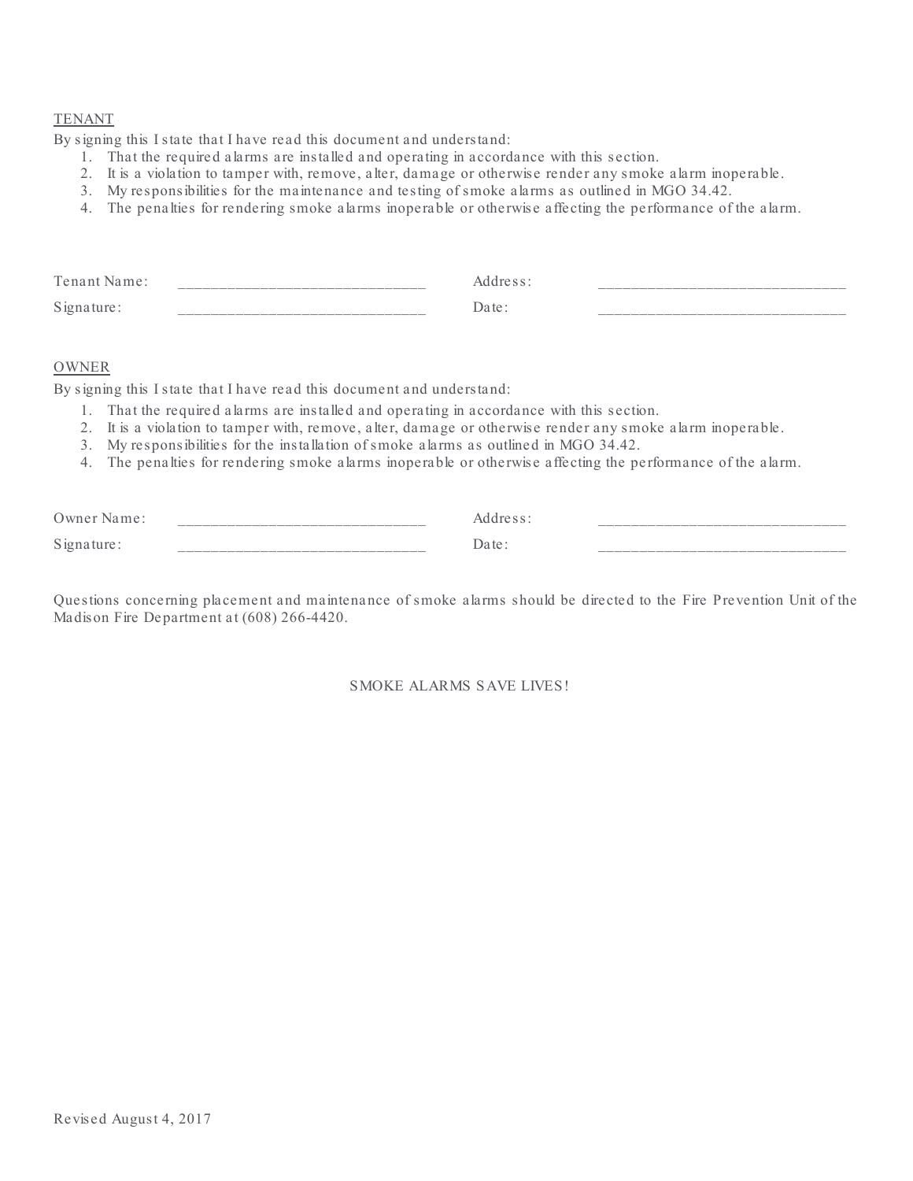# TENANT

By s igning this I state that I have read this document and understand:

- 1. That the required alarms are installed and operating in accordance with this section.
- 2. It is a violation to tamper with, remove, alter, damage or otherwise render any smoke alarm inoperable.
- 3. My responsibilities for the maintenance and testing of smoke alarms as outlined in MGO 34.42.
- 4. The penalties for rendering smoke alarms inoperable or otherwise affecting the performance of the alarm.

| $\overline{ }$<br>Tenant<br>Name: | __  | Address : |  |
|-----------------------------------|-----|-----------|--|
| $\sim$ $\cdot$<br>Signature:<br>~ | $-$ | Da te :   |  |

## **OWNER**

By s igning this I state that I have read this document and understand:

- 1. That the required alarms are installed and operating in accordance with this section.
- 2. It is a violation to tamper with, remove, alter, damage or otherwise render any smoke alarm inoperable.
- 3. My responsibilities for the installation of smoke alarms as outlined in MGO 34.42.
- 4. The penalties for rendering smoke alarms inoperable or otherwise affecting the performance of the alarm.

| $Q_{WDP}$<br>Name                | $-$ | $.10$ rec | __  |
|----------------------------------|-----|-----------|-----|
| $\sim$ $\cdot$<br>Signature<br>∽ |     | Date      | $-$ |

Questions concerning placement and maintenance of smoke alarms should be directed to the Fire Prevention Unit of the Madison Fire Department at (608) 266-4420.

#### SMOKE ALARMS S AVE LIVES!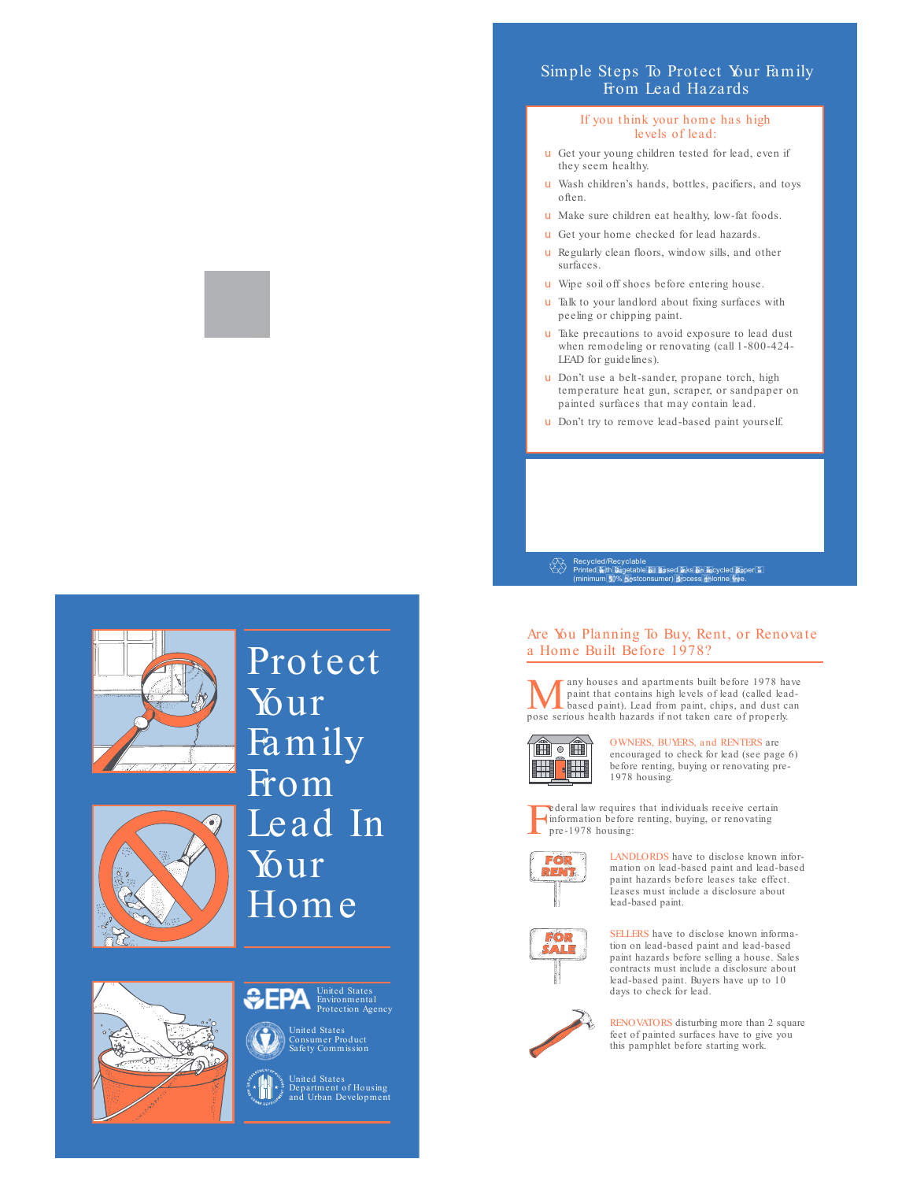# Simple Steps To Protect Your Family From Lead Hazards

#### If you think your home has high levels of lead:

- u Get your young children tested for lead, even if they seem healthy.
- u Wash children's hands, bottles, pacifiers, and toys often.
- u Make sure children eat healthy, low-fat foods.
- u Get your home checked for lead hazards.
- u Regularly clean floors, window sills, and other surfaces.
- u Wipe soil off shoes before entering house.
- u Talk to your landlord about fixing surfaces with peeling or chipping paint.
- u Take precautions to avoid exposure to lead dust when remodeling or renovating (call 1-800-424- LEAD for guidelines).
- u Don't use a belt-sander, propane torch, high temperature heat gun, scraper, or sandpaper on painted surfaces that may contain lead.
- u Don't try to remove lead-based paint yourself.

Recycled/Recyclable<br>Printed with u≘getable bil based inks bn iecycled baper<br>(minimum 50% postconsumer) process d lorine free.



# Protect Your Family From Lead In Your Home





United States Consumer Product Safety Commission



United States Department of Housing and Urban Development

# Are You Planning To Buy, Rent, or Renovate a Home Built Before 1978?

**M** any houses and apartments built before 1978 has paint that contains high levels of lead (called lead<br>pose serious health hazards if not taken care of properly. any houses and apartments built before 1978 have paint that contains high levels of lead (called leadbased paint). Lead from paint, chips, and dust can



OWNERS, BUYERS, and RENTERS are

encouraged to check for lead (see page 6) before renting, buying or renovating pre-1978 housing.

F<sup>i</sup> ederal law requires that individuals receive certain information before renting, buying, or renovating pre-1978 housing:



LANDLORDS have to disclose known information on lead-based paint and lead-based paint hazards before leases take effect. Leases must include a disclosure about lead-based paint.



SELLERS have to disclose known information on lead-based paint and lead-based paint hazards before selling a house. Sales contracts must include a disclosure about lead-based paint. Buyers have up to 10 days to check for lead.



RENOVATORS disturbing more than 2 square feet of painted surfaces have to give you this pamphlet before starting work.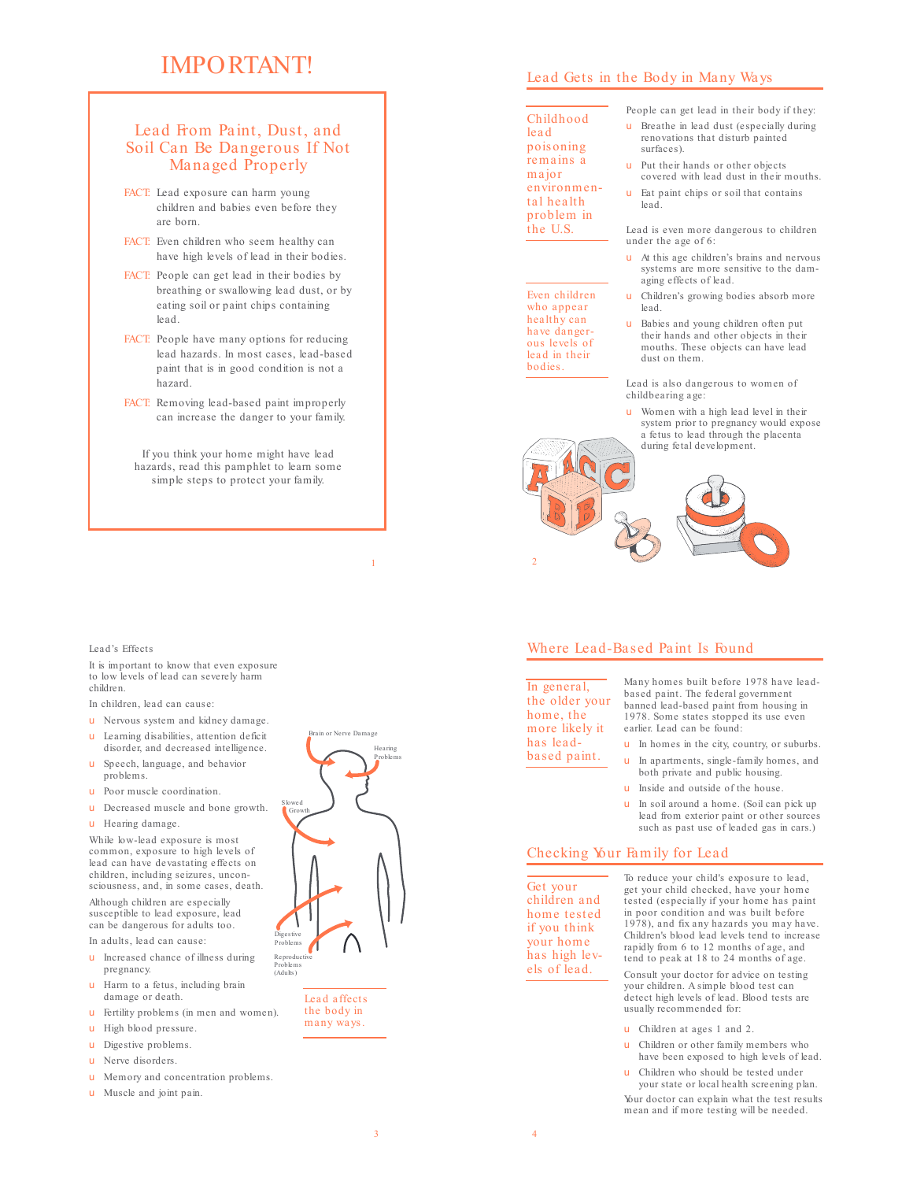# IMPORTANT!

# Lead From Paint, Dust, and Soil Can Be Dangerous If Not Managed Properly

- FACT: Lead exposure can harm young children and babies even before they are born.
- FACT: Even children who seem healthy can have high levels of lead in their bodies.
- FACT: People can get lead in their bodies by breathing or swallowing lead dust, or by eating soil or paint chips containing lead.
- FACT: People have many options for reducing lead hazards. In most cases, lead-based paint that is in good condition is not a hazard.
- FACT: Removing lead-based paint improperly can increase the danger to your family.

If you think your home might have lead hazards, read this pamphlet to learn some simple steps to protect your family.

#### Lead Gets in the Body in Many Ways

Childhood lea d poisoning rema ins a ma jor environmental health problem in the U.S.

Even children who appear healthy can have dangerous levels of lead in their bodies .

People can get lead in their body if they:

- u Breathe in lead dust (especially during renovations that disturb painted surfaces).
- u Put their hands or other objects
- covered with lead dust in their mouths. u Eat paint chips or soil that contains lead.

Lead is even more dangerous to children under the age of 6:

- u At this age children's brains and nervous systems are more sensitive to the damaging effects of lead.
- u Children's growing bodies absorb more lead.
- u Babies and young children often put their hands and other objects in their mouths. These objects can have lead dust on them.

Lead is also dangerous to women of childbearing age:

u Women with a high lead level in their system prior to pregnancy would expose a fetus to lead through the placenta during fetal development.



#### Lead's Effects

It is important to know that even exposure to low levels of lead can severely harm children.

In children, lead can cause:

- u Nervous system and kidney damage.
- u Learning disabilities, attention deficit disorder, and decreased intelligence.
- u Speech, language, and behavior problems.
- u Poor muscle coordination.

u Decreased muscle and bone growth.

u Hearing damage.

While low-lead exposure is most common, exposure to high levels of lead can have devastating effects on children, including seizures, unconsciousness, and, in some cases, death.

Although children are especially susceptible to lead exposure, lead can be dangerous for adults too.

- In adults, lead can cause:
- u Increased chance of illness during pregnancy.
- u Harm to a fetus, including brain damage or death.
- u Fertility problems (in men and women).
- u High blood pressure.
- u Digestive problems.
- u Nerve disorders.
- u Memory and concentration problems.
- u Muscle and joint pain.



Lead affects the body in many ways.

#### Where Lead-Based Paint Is Found

In general, the older your home, the more likely it has lea dba sed paint.

1 2

Many homes built before 1978 have leadbased paint. The federal government banned lead-based paint from housing in 1978. Some states stopped its use even earlier. Lead can be found:

- u In homes in the city, country, or suburbs.
- In apartments, single-family homes, and both private and public housing.
- u Inside and outside of the house.
- u In soil around a home. (Soil can pick up lead from exterior paint or other sources such as past use of leaded gas in cars.)

## Checking Your Family for Lead

children and has high levels of lea d.

To reduce your child's exposure to lead, get your child checked, have your home tested (especially if your home has paint in poor condition and was built before 1978), and fix any hazards you may have. Children's blood lead levels tend to increase rapidly from 6 to 12 months of age, and tend to peak at 18 to 24 months of age.

Consult your doctor for advice on testing your children. A simple blood test can detect high levels of lead. Blood tests are usually recommended for:

- u Children at ages 1 and 2.
- u Children or other family members who have been exposed to high levels of lead.
- u Children who should be tested under your state or local health screening plan.

Your doctor can explain what the test results mean and if more testing will be needed.

Get your

home tested if you think your home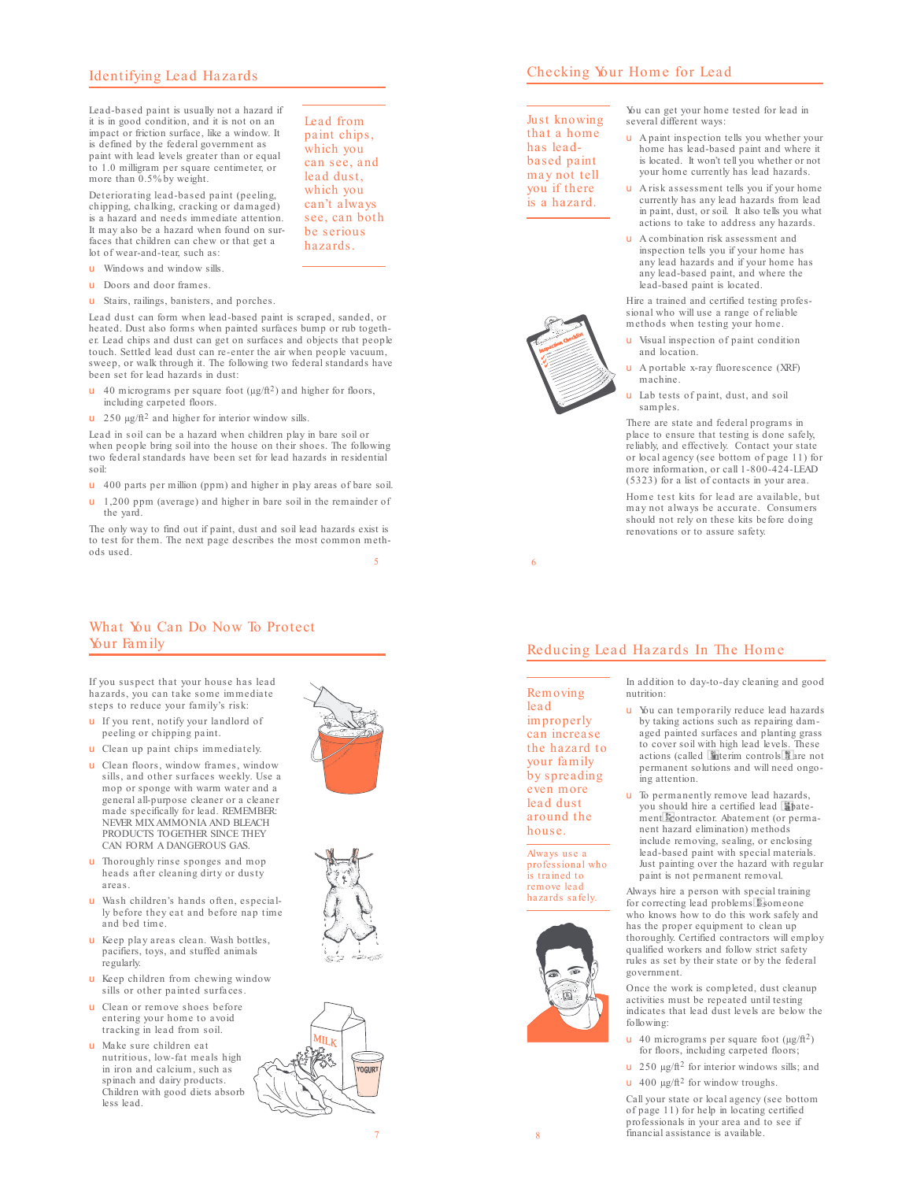### Identifying Lead Hazards

Lead-based paint is usually not a hazard if it is in good condition, and it is not on an impact or friction surface, like a window. It is defined by the federal government as paint with lead levels greater than or equal to 1.0 milligram per square centimeter, or more than 0.5% by weight.

Deteriorating lead-based paint (peeling, chipping, chalking, cracking or damaged) is a hazard and needs immediate attention. It may also be a hazard when found on surfaces that children can chew or that get a lot of wear-and-tear, such as:

- u Windows and window sills.
- u Doors and door frames.
- u Stairs, railings, banisters, and porches.

Lead dust can form when lead-based paint is scraped, sanded, or heated. Dust also forms when painted surfaces bump or rub together. Lead chips and dust can get on surfaces and objects that people touch. Settled lead dust can re-enter the air when people vacuum, sweep, or walk through it. The following two federal standards have been set for lead hazards in dust:

Lead from paint chips, which you can see, a nd lead dust, which you can't always see, can both be serious hazards.

- u 40 micrograms per square foot  $(\mu g/ft^2)$  and higher for floors, including carpeted floors.
- u 250  $\mu$ g/ft<sup>2</sup> and higher for interior window sills.

Lead in soil can be a hazard when children play in bare soil or when people bring soil into the house on their shoes. The following two federal standards have been set for lead hazards in residential soil:

- u 400 parts per million (ppm) and higher in play areas of bare soil. u 1,200 ppm (average) and higher in bare soil in the remainder of
- the yard.

The only way to find out if paint, dust and soil lead hazards exist is to test for them. The next page describes the most common methods used.  $5\qquad \qquad 6$ 

What You Can Do Now To Protect Your Family

If you suspect that your house has lead hazards, you can take some immediate steps to reduce your family's risk:

- u If you rent, notify your landlord of peeling or chipping paint.
- u Clean up paint chips immediately.
- u Clean floors, window frames, window sills, and other surfaces weekly. Use a mop or sponge with warm water and a general all-purpose cleaner or a cleaner made specifically for lead. REMEMBER: NEVER MIX AMMONIA AND BLEACH PRODUCTS TOGETHER SINCE THEY CAN FORM A DANGEROUS GAS.
- u Thoroughly rinse sponges and mop heads after cleaning dirty or dusty areas.
- u Wash children's hands often, especially before they eat and before nap time and bed time.
- u Keep play areas clean. Wash bottles, pacifiers, toys, and stuffed animals regularly.
- u Keep children from chewing window sills or other painted surfaces.
- u Clean or remove shoes before entering your home to avoid tracking in lead from soil.
- u Make sure children eat nutritious, low-fat meals high in iron and calcium, such as spinach and dairy products. Children with good diets absorb less lead.







#### Checking Your Home for Lead

Just knowing that a home has lea dba sed paint ma y not tell you if there is a haza rd.



You can get your home tested for lead in several different ways:

- u A paint inspection tells you whether your home has lead-based paint and where it is located. It won't tell you whether or not your home currently has lead hazards.
- u A risk assessment tells you if your home currently has any lead hazards from lead in paint, dust, or soil. It also tells you what actions to take to address any hazards.
- u A combination risk assessment and inspection tells you if your home has any lead hazards and if your home has any lead-based paint, and where the lead-based paint is located.

Hire a trained and certified testing professional who will use a range of reliable methods when testing your home.

- u Visual inspection of paint condition and location.
- u A portable x-ray fluorescence (XRF) machine.
- Lab tests of paint, dust, and soil samples.

There are state and federal programs in place to ensure that testing is done safely, reliably, and effectively. Contact your state or local agency (see bottom of page 11) for more information, or call 1-800-424-LEAD (5323) for a list of contacts in your area.

Home test kits for lead are available, but may not always be accurate. Consumers should not rely on these kits before doing renovations or to assure safety.

# Reducing Lead Hazards In The Home

nutrition:

Removing lea d improperly can increase the hazard to your fa mily by spreading even more lead dust around the house.

Always use a professional who is trained to remove lead hazards safely.



by taking actions such as repairing damaged painted surfaces and planting grass to cover soil with high lead levels. These actions (called nterim controls ) are not permanent solutions and will need ongo-

ing attention.

u To permanently remove lead hazards, you should hire a certified lead abatement contractor. Abatement (or permanent hazard elimination) methods include removing, sealing, or enclosing lead-based paint with special materials. Just painting over the hazard with regular paint is not permanent removal.

In addition to day-to-day cleaning and good

u You can temporarily reduce lead hazards

Always hire a person with special training for correcting lead problems someone who knows how to do this work safely and has the proper equipment to clean up thoroughly. Certified contractors will employ qualified workers and follow strict safety rules as set by their state or by the federal government.

Once the work is completed, dust cleanup activities must be repeated until testing indicates that lead dust levels are below the following:

- u 40 micrograms per square foot  $(\mu g / \text{ft}^2)$ for floors, including carpeted floors;
- u 250 µg/ft2 for interior windows sills; and
- u 400 µg/ft2 for window troughs.

Call your state or local agency (see bottom of page 11) for help in locating certified professionals in your area and to see if .<br>financial assistance is available.

7

8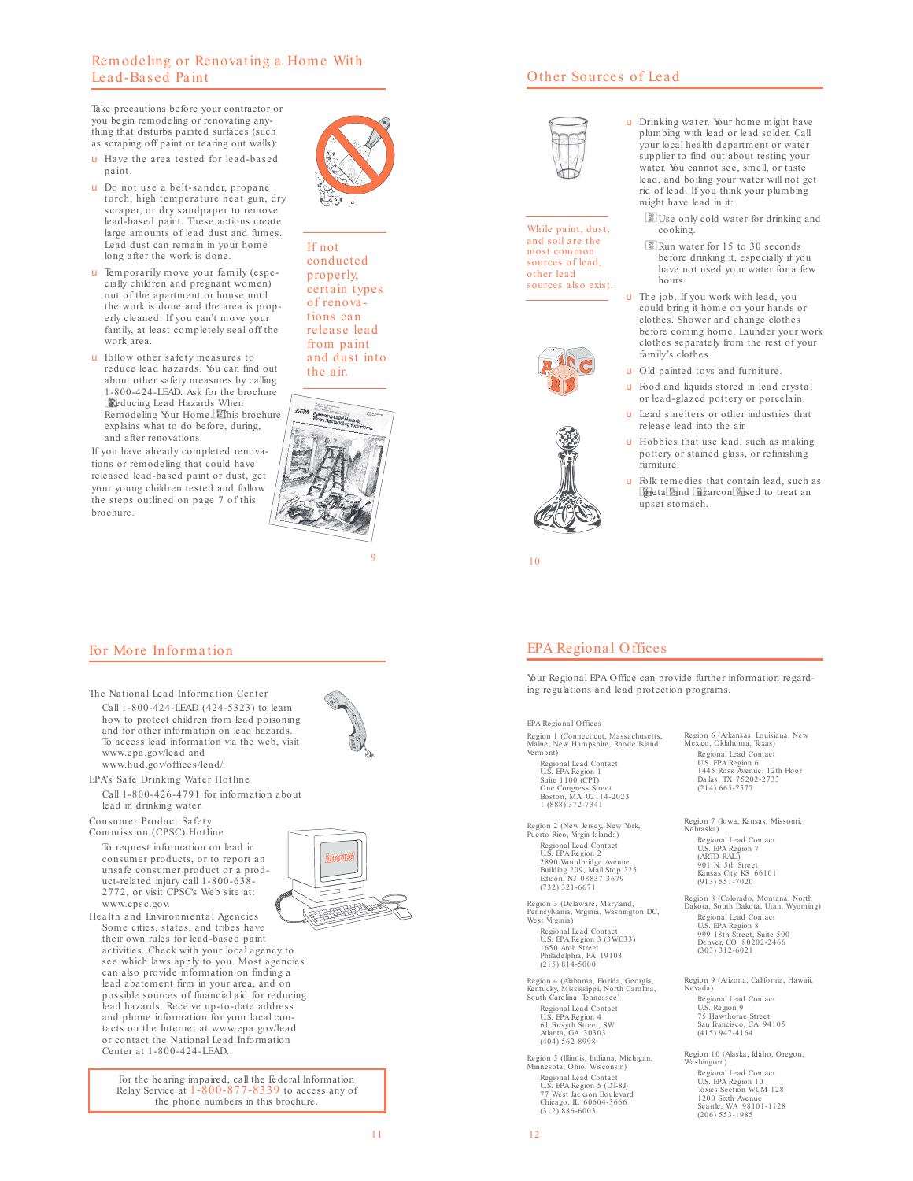## Remodeling or Renovating a Home With Lead-Based Paint

Take precautions before your contractor or you begin remodeling or renovating anything that disturbs painted surfaces (such as scraping off paint or tearing out walls):

- u Have the area tested for lead-based paint .
- u Do not use a belt-sander, propa ne torch, high tempera ture heat gun, dry scra per, or dry sandpaper to remove lead-based paint. These actions create large amounts of lead dust and fumes. Lead dust can remain in your home long after the work is done.
- u Tem porarily m ove your fam ily (especially children and pregnant women) out of the apartment or house until the work is done and the area is properly cleaned. If you can't move your family, at least completely seal off the work area.
- u Follow other safety measures to reduce lead hazards. You can find out about other safety measures by calling 1-800-424-LEAD. Ask for the brochure Reducing Lead Hazards When Remodeling Your Home. **This brochure** explains what to do before, during, and after renovations.

If you have already completed renovations or remodeling that could have released lead-based paint or dust, get your young children tested and follow the steps outlined on page 7 of this brochure.



If not conducted properly, certain types of renova tions can release lea d from paint and dust into the a ir.



9

# For More Informa tion

The National Lead Information Center Call 1-800-424-LEAD (424-5323) to learn how to protect children from lead poisoning and for other information on lead hazards. To access lead information via the web, visit www.epa.gov/lead and www.hud.gov/offices/lead/.

EPA's Sa fe Drinking Water Hotline Call 1-800-426-4791 for information about

lead in drinking water. Consum er Product Safet y

Com mission (CPSC) Hotline

To request information on lead in consumer products, or to report an unsafe consumer product or a product-related injury call 1-800-638- 2772, or visit CPSC's Web site at: www.cpsc.gov.



For the hearing impaired, call the Federal Information Relay Service at 1-800-877-8339 to access any of the phone numbers in this brochure.

# Other Sources of Lead



While paint, dust, and soil are the most common sources of lead, ot her lea d sources also exist.





10

u Drinking water. Your home might have plumbing with lead or lead solder. Call your local health department or water supplier to find out about testing your water. You cannot see, smell, or taste lead, and boiling your water will not get rid of lead. If you think your plumbing might have lead in it:

- Use only cold water for drinking and cooking.
- $\frac{8}{18}$  Run water for 15 to 30 seconds before drinking it, especially if you have not used your water for a few hours.
- u The job. If you work with lead, you could bring it home on your hands or clothes. Shower and change clothes before coming home. Launder your work clothes separately from the rest of your family's clothes.
- u Old painted toys and furniture.
- u Food and liquids stored in lead crystal or lead-glazed pottery or porcelain.
- u Lead smelters or other industries that release lead into the air.
- u Hobbies that use lead, such as making pottery or stained glass, or refinishing furniture.
- u Folk remedies that contain lead, such as greta <sup>g</sup>and azarcon <sup>3</sup> sed to treat an upset stomach.

# EPA Regional Offices

Your Regional EPA Office can provide further information regarding regulations and lead protection programs.

EPA Regional Offices Region 1 (Connecticut, Massachusetts, Maine, New Hampshire, Rhode Island, Vermont)

Regional Lead Contact U.S. EPA Region 1 Suite 1100 (CPT) One Congress Street Boston, MA 02114-2023 1 (888) 372-7341

Region 2 (New Jersey, New York, Puerto Rico, Virgin Islands) Regional Lead Contact U.S. EPA Region 2 2890 Woodbridge Avenue Building 209, Mail Stop 225 Edison, NJ 08837-3679 (732) 321-6671

Region 3 (Delaware, Maryland, Pennsylvania, Virginia, Washington DC, West Virginia) Regional Lead Contact U.S. EPA Region 3 (3WC33) 1650 Arch Street Philadelphia, PA 19103 (215) 814-5000

Region 4 (Alabama, Florida, Georgia, Kentucky, Mississippi, North Carolina, South Carolina, Tennessee) Regional Lead Contact U.S. EPA Region 4 61 Forsyth Street, SW Atlanta, GA 30303 (404) 562-8998

Region 5 (Illinois, Indiana, Michigan, Minnesota, Ohio, Wisconsin) Regional Lead Contact U.S. EPA Region 5 (DT-8J) 77 West Jackson Boulevard Chicago, IL 60604-3666 (312) 886-6003

Region 6 (Arkansas, Louisiana, New Mexico, Oklahoma, Texas) Regional Lead Contact U.S. EPA Region 6 1445 Ross Avenue, 12th Floor Dallas, TX 75202-2733 (214) 665-7577

Region 7 (Iowa, Kansas, Missouri, Nebraska)

Regional Lead Contact U.S. EPA Region 7 (ARTD-RALI) 901 N. 5th Street Kansas City, KS 66101 (913) 551-7020

Region 8 (Colorado, Montana, North Dakota, South Dakota, Utah, Wyoming) Regional Lead Contact U.S. EPA Region 8 999 18th Street, Suite 500 Denver, CO 80202-2466 (303) 312-6021

Region 9 (Arizona, California, Hawaii, Nevada) Regional Lead Contact U.S. Region 9 75 Hawthorne Street San Francisco, CA 94105 (415) 947-4164

Region 10 (Alaska, Idaho, Oregon, Washington) Regional Lead Contact<br>U.S. EPA Region 10<br>Toxics Section WCM-128<br>1200 Sixth Avenue<br>Seattle, WA 98101-1128<br>(206) 553-1985

地理技